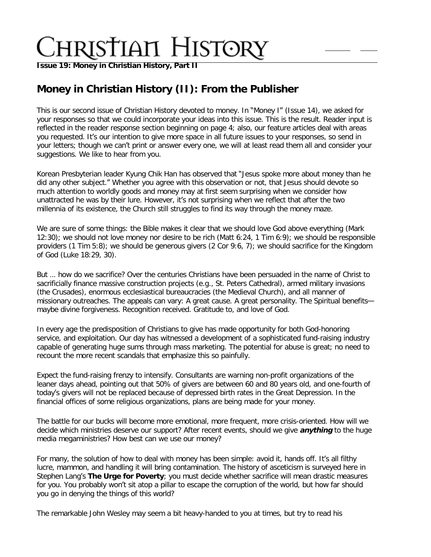# Christian History

**[Issue 19: Money in Christian History, Part II](http://ctlstaging/ch/cdrom/collection.html?id=329)**

### **Money in Christian History (II): From the Publisher**

This is our second issue of Christian History devoted to money. In "Money I" (Issue 14), we asked for your responses so that we could incorporate your ideas into this issue. This is the result. Reader input is reflected in the reader response section beginning on page 4; also, our feature articles deal with areas you requested. It's our intention to give more space in all future issues to your responses, so send in your letters; though we can't print or answer every one, we will at least read them all and consider your suggestions. We like to hear from you.

Korean Presbyterian leader Kyung Chik Han has observed that "Jesus spoke more about money than he did any other subject." Whether you agree with this observation or not, that Jesus should devote so much attention to worldly goods and money may at first seem surprising when we consider how unattracted he was by their lure. However, it's not surprising when we reflect that after the two millennia of its existence, the Church still struggles to find its way through the money maze.

We are sure of some things: the Bible makes it clear that we should love God above everything (Mark 12:30); we should not love money nor desire to be rich (Matt 6:24, 1 Tim 6:9); we should be responsible providers (1 Tim 5:8); we should be generous givers (2 Cor 9:6, 7); we should sacrifice for the Kingdom of God (Luke 18:29, 30).

But … how do we sacrifice? Over the centuries Christians have been persuaded in the name of Christ to sacrificially finance massive construction projects (e.g., St. Peters Cathedral), armed military invasions (the Crusades), enormous ecclesiastical bureaucracies (the Medieval Church), and all manner of missionary outreaches. The appeals can vary: A great cause. A great personality. The Spiritual benefits maybe divine forgiveness. Recognition received. Gratitude to, and love of God.

In every age the predisposition of Christians to give has made opportunity for both God-honoring service, and exploitation. Our day has witnessed a development of a sophisticated fund-raising industry capable of generating huge sums through mass marketing. The potential for abuse is great; no need to recount the more recent scandals that emphasize this so painfully.

Expect the fund-raising frenzy to intensify. Consultants are warning non-profit organizations of the leaner days ahead, pointing out that 50% of givers are between 60 and 80 years old, and one-fourth of today's givers will not be replaced because of depressed birth rates in the Great Depression. In the financial offices of some religious organizations, plans are being made for your money.

The battle for our bucks will become more emotional, more frequent, more crisis-oriented. How will we decide which ministries deserve our support? After recent events, should we give **anything** to the huge media megaministries? How best can we use our money?

For many, the solution of how to deal with money has been simple: avoid it, hands off. It's all filthy lucre, mammon, and handling it will bring contamination. The history of asceticism is surveyed here in Stephen Lang's **The Urge for Poverty**; you must decide whether sacrifice will mean drastic measures for you. You probably won't sit atop a pillar to escape the corruption of the world, but how far should you go in denying the things of this world?

The remarkable John Wesley may seem a bit heavy-handed to you at times, but try to read his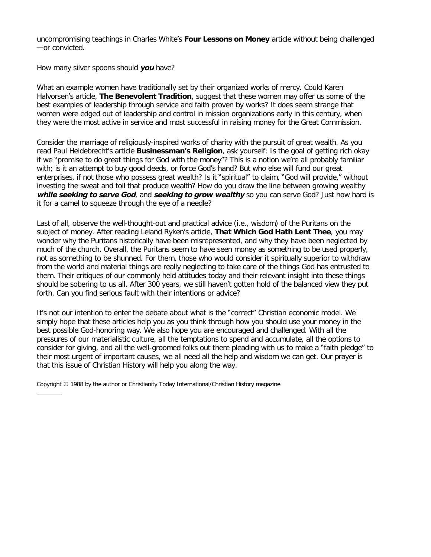uncompromising teachings in Charles White's **Four Lessons on Money** article without being challenged —or convicted.

How many silver spoons should **you** have?

What an example women have traditionally set by their organized works of mercy. Could Karen Halvorsen's article, **The Benevolent Tradition**, suggest that these women may offer us some of the best examples of leadership through service and faith proven by works? It does seem strange that women were edged out of leadership and control in mission organizations early in this century, when they were the most active in service and most successful in raising money for the Great Commission.

Consider the marriage of religiously-inspired works of charity with the pursuit of great wealth. As you read Paul Heidebrecht's article **Businessman's Religion**, ask yourself: Is the goal of getting rich okay if we "promise to do great things for God with the money"? This is a notion we're all probably familiar with; is it an attempt to buy good deeds, or force God's hand? But who else will fund our great enterprises, if not those who possess great wealth? Is it "spiritual" to claim, "God will provide," without investing the sweat and toil that produce wealth? How do you draw the line between growing wealthy **while seeking to serve God**, and **seeking to grow wealthy** so you can serve God? Just how hard is it for a camel to squeeze through the eye of a needle?

Last of all, observe the well-thought-out and practical advice (i.e., wisdom) of the Puritans on the subject of money. After reading Leland Ryken's article, **That Which God Hath Lent Thee**, you may wonder why the Puritans historically have been misrepresented, and why they have been neglected by much of the church. Overall, the Puritans seem to have seen money as something to be used properly, not as something to be shunned. For them, those who would consider it spiritually superior to withdraw from the world and material things are really neglecting to take care of the things God has entrusted to them. Their critiques of our commonly held attitudes today and their relevant insight into these things should be sobering to us all. After 300 years, we still haven't gotten hold of the balanced view they put forth. Can you find serious fault with their intentions or advice?

It's not our intention to enter the debate about what is the "correct" Christian economic model. We simply hope that these articles help you as you think through how you should use your money in the best possible God-honoring way. We also hope you are encouraged and challenged. With all the pressures of our materialistic culture, all the temptations to spend and accumulate, all the options to consider for giving, and all the well-groomed folks out there pleading with us to make a "faith pledge" to their most urgent of important causes, we all need all the help and wisdom we can get. Our prayer is that this issue of Christian History will help you along the way.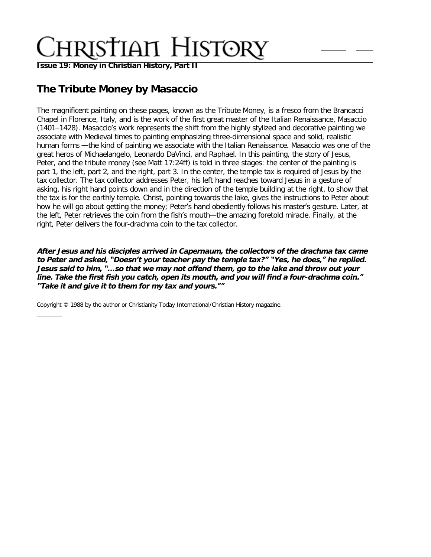# Christian History

**[Issue 19: Money in Christian History, Part II](http://ctlstaging/ch/cdrom/collection.html?id=329)**

### **The Tribute Money by Masaccio**

The magnificent painting on these pages, known as the Tribute Money, is a fresco from the Brancacci Chapel in Florence, Italy, and is the work of the first great master of the Italian Renaissance, Masaccio (1401–1428). Masaccio's work represents the shift from the highly stylized and decorative painting we associate with Medieval times to painting emphasizing three-dimensional space and solid, realistic human forms —the kind of painting we associate with the Italian Renaissance. Masaccio was one of the great heros of Michaelangelo, Leonardo DaVinci, and Raphael. In this painting, the story of Jesus, Peter, and the tribute money (see Matt 17:24ff) is told in three stages: the center of the painting is part 1, the left, part 2, and the right, part 3. In the center, the temple tax is required of Jesus by the tax collector. The tax collector addresses Peter, his left hand reaches toward Jesus in a gesture of asking, his right hand points down and in the direction of the temple building at the right, to show that the tax is for the earthly temple. Christ, pointing towards the lake, gives the instructions to Peter about how he will go about getting the money; Peter's hand obediently follows his master's gesture. Later, at the left, Peter retrieves the coin from the fish's mouth—the amazing foretold miracle. Finally, at the right, Peter delivers the four-drachma coin to the tax collector.

**After Jesus and his disciples arrived in Capernaum, the collectors of the drachma tax came to Peter and asked, "Doesn't your teacher pay the temple tax?" "Yes, he does," he replied. Jesus said to him, "…so that we may not offend them, go to the lake and throw out your line. Take the first fish you catch, open its mouth, and you will find a four-drachma coin." "Take it and give it to them for my tax and yours.""**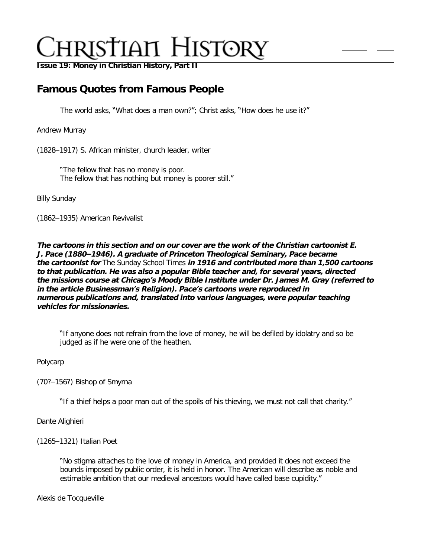# Christian History

**[Issue 19: Money in Christian History, Part II](http://ctlstaging/ch/cdrom/collection.html?id=329)**

### **Famous Quotes from Famous People**

The world asks, "What does a man own?"; Christ asks, "How does he use it?"

Andrew Murray

(1828–1917) S. African minister, church leader, writer

"The fellow that has no money is poor. The fellow that has nothing but money is poorer still."

Billy Sunday

(1862–1935) American Revivalist

**The cartoons in this section and on our cover are the work of the Christian cartoonist E. J. Pace (1880–1946). A graduate of Princeton Theological Seminary, Pace became the cartoonist for** The Sunday School Times **in 1916 and contributed more than 1,500 cartoons to that publication. He was also a popular Bible teacher and, for several years, directed the missions course at Chicago's Moody Bible Institute under Dr. James M. Gray (referred to in the article Businessman's Religion). Pace's cartoons were reproduced in numerous publications and, translated into various languages, were popular teaching vehicles for missionaries.**

"If anyone does not refrain from the love of money, he will be defiled by idolatry and so be judged as if he were one of the heathen.

Polycarp

(70?–156?) Bishop of Smyrna

"If a thief helps a poor man out of the spoils of his thieving, we must not call that charity."

Dante Alighieri

(1265–1321) Italian Poet

"No stigma attaches to the love of money in America, and provided it does not exceed the bounds imposed by public order, it is held in honor. The American will describe as noble and estimable ambition that our medieval ancestors would have called base cupidity."

Alexis de Tocqueville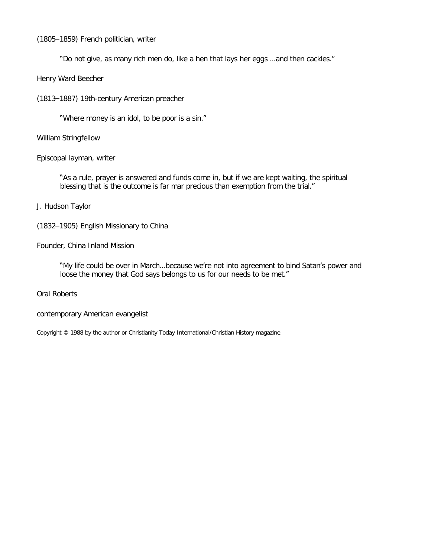(1805–1859) French politician, writer

"Do not give, as many rich men do, like a hen that lays her eggs …and then cackles."

Henry Ward Beecher

(1813–1887) 19th-century American preacher

"Where money is an idol, to be poor is a sin."

William Stringfellow

Episcopal layman, writer

"As a rule, prayer is answered and funds come in, but if we are kept waiting, the spiritual blessing that is the outcome is far mar precious than exemption from the trial."

#### J. Hudson Taylor

(1832–1905) English Missionary to China

Founder, China Inland Mission

"My life could be over in March…because we're not into agreement to bind Satan's power and loose the money that God says belongs to us for our needs to be met."

Oral Roberts

contemporary American evangelist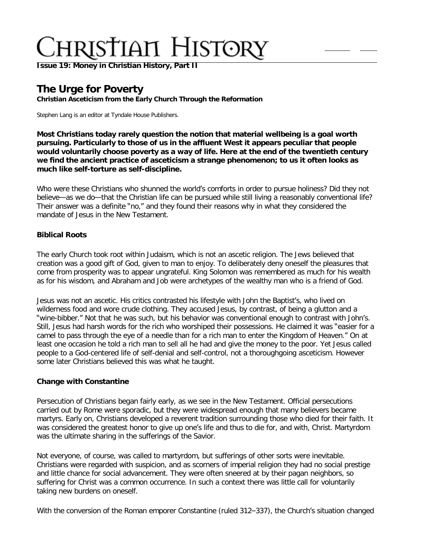# hristian Histor

**[Issue 19: Money in Christian History, Part II](http://ctlstaging/ch/cdrom/collection.html?id=329)**

### **The Urge for Poverty**

**Christian Asceticism from the Early Church Through the Reformation**

Stephen Lang is an editor at Tyndale House Publishers.

**Most Christians today rarely question the notion that material wellbeing is a goal worth pursuing. Particularly to those of us in the affluent West it appears peculiar that people would voluntarily choose poverty as a way of life. Here at the end of the twentieth century we find the ancient practice of asceticism a strange phenomenon; to us it often looks as much like self-torture as self-discipline.** 

Who were these Christians who shunned the world's comforts in order to pursue holiness? Did they not believe—as we do—that the Christian life can be pursued while still living a reasonably conventional life? Their answer was a definite "no," and they found their reasons why in what they considered the mandate of Jesus in the New Testament.

### **Biblical Roots**

The early Church took root within Judaism, which is not an ascetic religion. The Jews believed that creation was a good gift of God, given to man to enjoy. To deliberately deny oneself the pleasures that come from prosperity was to appear ungrateful. King Solomon was remembered as much for his wealth as for his wisdom, and Abraham and Job were archetypes of the wealthy man who is a friend of God.

Jesus was not an ascetic. His critics contrasted his lifestyle with John the Baptist's, who lived on wilderness food and wore crude clothing. They accused Jesus, by contrast, of being a glutton and a "wine-bibber." Not that he was such, but his behavior was conventional enough to contrast with John's. Still, Jesus had harsh words for the rich who worshiped their possessions. He claimed it was "easier for a camel to pass through the eye of a needle than for a rich man to enter the Kingdom of Heaven." On at least one occasion he told a rich man to sell all he had and give the money to the poor. Yet Jesus called people to a God-centered life of self-denial and self-control, not a thoroughgoing asceticism. However some later Christians believed this was what he taught.

### **Change with Constantine**

Persecution of Christians began fairly early, as we see in the New Testament. Official persecutions carried out by Rome were sporadic, but they were widespread enough that many believers became martyrs. Early on, Christians developed a reverent tradition surrounding those who died for their faith. It was considered the greatest honor to give up one's life and thus to die for, and with, Christ. Martyrdom was the ultimate sharing in the sufferings of the Savior.

Not everyone, of course, was called to martyrdom, but sufferings of other sorts were inevitable. Christians were regarded with suspicion, and as scorners of imperial religion they had no social prestige and little chance for social advancement. They were often sneered at by their pagan neighbors, so suffering for Christ was a common occurrence. In such a context there was little call for voluntarily taking new burdens on oneself.

With the conversion of the Roman emporer Constantine (ruled 312–337), the Church's situation changed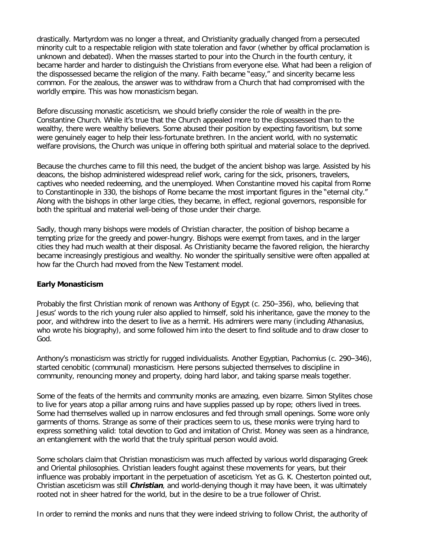drastically. Martyrdom was no longer a threat, and Christianity gradually changed from a persecuted minority cult to a respectable religion with state toleration and favor (whether by offical proclamation is unknown and debated). When the masses started to pour into the Church in the fourth century, it became harder and harder to distinguish the Christians from everyone else. What had been a religion of the dispossessed became the religion of the many. Faith became "easy," and sincerity became less common. For the zealous, the answer was to withdraw from a Church that had compromised with the worldly empire. This was how monasticism began.

Before discussing monastic asceticism, we should briefly consider the role of wealth in the pre-Constantine Church. While it's true that the Church appealed more to the dispossessed than to the wealthy, there were wealthy believers. Some abused their position by expecting favoritism, but some were genuinely eager to help their less-fortunate brethren. In the ancient world, with no systematic welfare provisions, the Church was unique in offering both spiritual and material solace to the deprived.

Because the churches came to fill this need, the budget of the ancient bishop was large. Assisted by his deacons, the bishop administered widespread relief work, caring for the sick, prisoners, travelers, captives who needed redeeming, and the unemployed. When Constantine moved his capital from Rome to Constantinople in 330, the bishops of Rome became the most important figures in the "eternal city." Along with the bishops in other large cities, they became, in effect, regional governors, responsible for both the spiritual and material well-being of those under their charge.

Sadly, though many bishops were models of Christian character, the position of bishop became a tempting prize for the greedy and power-hungry. Bishops were exempt from taxes, and in the larger cities they had much wealth at their disposal. As Christianity became the favored religion, the hierarchy became increasingly prestigious and wealthy. No wonder the spiritually sensitive were often appalled at how far the Church had moved from the New Testament model.

### **Early Monasticism**

Probably the first Christian monk of renown was Anthony of Egypt (c. 250–356), who, believing that Jesus' words to the rich young ruler also applied to himself, sold his inheritance, gave the money to the poor, and withdrew into the desert to live as a hermit. His admirers were many (including Athanasius, who wrote his biography), and some followed him into the desert to find solitude and to draw closer to God.

Anthony's monasticism was strictly for rugged individualists. Another Egyptian, Pachomius (c. 290–346), started cenobitic (communal) monasticism. Here persons subjected themselves to discipline in community, renouncing money and property, doing hard labor, and taking sparse meals together.

Some of the feats of the hermits and community monks are amazing, even bizarre. Simon Stylites chose to live for years atop a pillar among ruins and have supplies passed up by rope; others lived in trees. Some had themselves walled up in narrow enclosures and fed through small openings. Some wore only garments of thorns. Strange as some of their practices seem to us, these monks were trying hard to express something valid: total devotion to God and imitation of Christ. Money was seen as a hindrance, an entanglement with the world that the truly spiritual person would avoid.

Some scholars claim that Christian monasticism was much affected by various world disparaging Greek and Oriental philosophies. Christian leaders fought against these movements for years, but their influence was probably important in the perpetuation of asceticism. Yet as G. K. Chesterton pointed out, Christian asceticism was still **Christian**, and world-denying though it may have been, it was ultimately rooted not in sheer hatred for the world, but in the desire to be a true follower of Christ.

In order to remind the monks and nuns that they were indeed striving to follow Christ, the authority of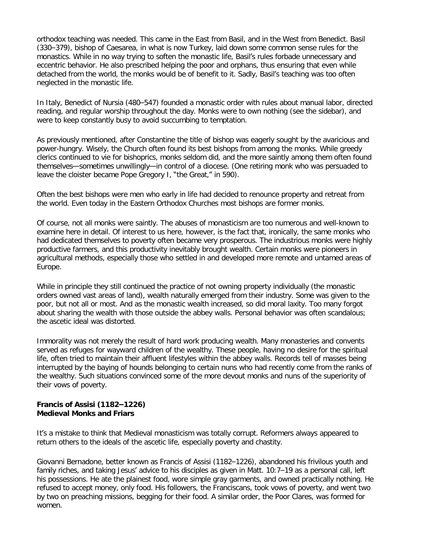orthodox teaching was needed. This came in the East from Basil, and in the West from Benedict. Basil (330–379), bishop of Caesarea, in what is now Turkey, laid down some common sense rules for the monastics. While in no way trying to soften the monastic life, Basil's rules forbade unnecessary and eccentric behavior. He also prescribed helping the poor and orphans, thus ensuring that even while detached from the world, the monks would be of benefit to it. Sadly, Basil's teaching was too often neglected in the monastic life.

In Italy, Benedict of Nursia (480–547) founded a monastic order with rules about manual labor, directed reading, and regular worship throughout the day. Monks were to own nothing (see the sidebar), and were to keep constantly busy to avoid succumbing to temptation.

As previously mentioned, after Constantine the title of bishop was eagerly sought by the avaricious and power-hungry. Wisely, the Church often found its best bishops from among the monks. While greedy clerics continued to vie for bishoprics, monks seldom did, and the more saintly among them often found themselves—sometimes unwillingly—in control of a diocese. (One retiring monk who was persuaded to leave the cloister became Pope Gregory I, "the Great," in 590).

Often the best bishops were men who early in life had decided to renounce property and retreat from the world. Even today in the Eastern Orthodox Churches most bishops are former monks.

Of course, not all monks were saintly. The abuses of monasticism are too numerous and well-known to examine here in detail. Of interest to us here, however, is the fact that, ironically, the same monks who had dedicated themselves to poverty often became very prosperous. The industrious monks were highly productive farmers, and this productivity inevitably brought wealth. Certain monks were pioneers in agricultural methods, especially those who settled in and developed more remote and untamed areas of Europe.

While in principle they still continued the practice of not owning property individually (the monastic orders owned vast areas of land), wealth naturally emerged from their industry. Some was given to the poor, but not all or most. And as the monastic wealth increased, so did moral laxity. Too many forgot about sharing the wealth with those outside the abbey walls. Personal behavior was often scandalous; the ascetic ideal was distorted.

Immorality was not merely the result of hard work producing wealth. Many monasteries and convents served as refuges for wayward children of the wealthy. These people, having no desire for the spiritual life, often tried to maintain their affluent lifestyles within the abbey walls. Records tell of masses being interrupted by the baying of hounds belonging to certain nuns who had recently come from the ranks of the wealthy. Such situations convinced some of the more devout monks and nuns of the superiority of their vows of poverty.

### **Francis of Assisi (1182–1226) Medieval Monks and Friars**

It's a mistake to think that Medieval monasticism was totally corrupt. Reformers always appeared to return others to the ideals of the ascetic life, especially poverty and chastity.

Giovanni Bernadone, better known as Francis of Assisi (1182–1226), abandoned his frivilous youth and family riches, and taking Jesus' advice to his disciples as given in Matt. 10:7–19 as a personal call, left his possessions. He ate the plainest food, wore simple gray garments, and owned practically nothing. He refused to accept money, only food. His followers, the Franciscans, took vows of poverty, and went two by two on preaching missions, begging for their food. A similar order, the Poor Clares, was formed for women.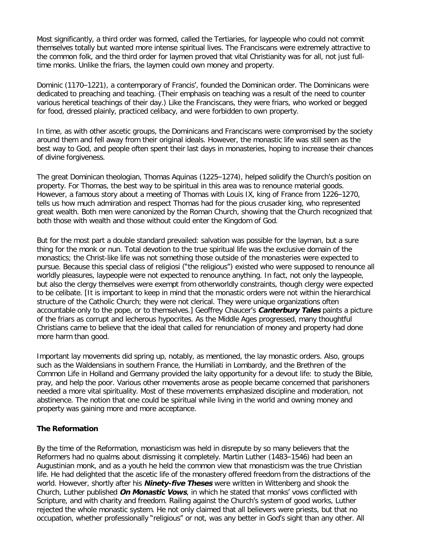Most significantly, a third order was formed, called the Tertiaries, for laypeople who could not commit themselves totally but wanted more intense spiritual lives. The Franciscans were extremely attractive to the common folk, and the third order for laymen proved that vital Christianity was for all, not just fulltime monks. Unlike the friars, the laymen could own money and property.

Dominic (1170–1221), a contemporary of Francis', founded the Dominican order. The Dominicans were dedicated to preaching and teaching. (Their emphasis on teaching was a result of the need to counter various heretical teachings of their day.) Like the Franciscans, they were friars, who worked or begged for food, dressed plainly, practiced celibacy, and were forbidden to own property.

In time, as with other ascetic groups, the Dominicans and Franciscans were compromised by the society around them and fell away from their original ideals. However, the monastic life was still seen as the best way to God, and people often spent their last days in monasteries, hoping to increase their chances of divine forgiveness.

The great Dominican theologian, Thomas Aquinas (1225–1274), helped solidify the Church's position on property. For Thomas, the best way to be spiritual in this area was to renounce material goods. However, a famous story about a meeting of Thomas with Louis IX, king of France from 1226–1270, tells us how much admiration and respect Thomas had for the pious crusader king, who represented great wealth. Both men were canonized by the Roman Church, showing that the Church recognized that both those with wealth and those without could enter the Kingdom of God.

But for the most part a double standard prevailed: salvation was possible for the layman, but a sure thing for the monk or nun. Total devotion to the true spiritual life was the exclusive domain of the monastics; the Christ-like life was not something those outside of the monasteries were expected to pursue. Because this special class of religiosi ("the religious") existed who were supposed to renounce all worldly pleasures, laypeople were not expected to renounce anything. In fact, not only the laypeople, but also the clergy themselves were exempt from otherworldly constraints, though clergy were expected to be celibate. [It is important to keep in mind that the monastic orders were not within the hierarchical structure of the Catholic Church; they were not clerical. They were unique organizations often accountable only to the pope, or to themselves.] Geoffrey Chaucer's **Canterbury Tales** paints a picture of the friars as corrupt and lecherous hypocrites. As the Middle Ages progressed, many thoughtful Christians came to believe that the ideal that called for renunciation of money and property had done more harm than good.

Important lay movements did spring up, notably, as mentioned, the lay monastic orders. Also, groups such as the Waldensians in southern France, the Humiliati in Lombardy, and the Brethren of the Common Life in Holland and Germany provided the laity opportunity for a devout life: to study the Bible, pray, and help the poor. Various other movements arose as people became concerned that parishoners needed a more vital spirituality. Most of these movements emphasized discipline and moderation, not abstinence. The notion that one could be spiritual while living in the world and owning money and property was gaining more and more acceptance.

### **The Reformation**

By the time of the Reformation, monasticism was held in disrepute by so many believers that the Reformers had no qualms about dismissing it completely. Martin Luther (1483–1546) had been an Augustinian monk, and as a youth he held the common view that monasticism was the true Christian life. He had delighted that the ascetic life of the monastery offered freedom from the distractions of the world. However, shortly after his **Ninety-five Theses** were written in Wittenberg and shook the Church, Luther published **On Monastic Vows**, in which he stated that monks' vows conflicted with Scripture, and with charity and freedom. Railing against the Church's system of good works, Luther rejected the whole monastic system. He not only claimed that all believers were priests, but that no occupation, whether professionally "religious" or not, was any better in God's sight than any other. All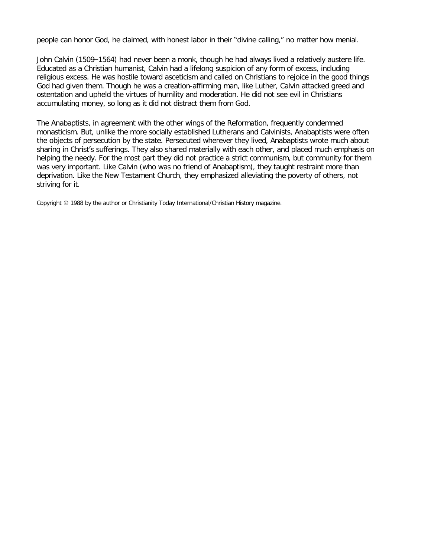people can honor God, he claimed, with honest labor in their "divine calling," no matter how menial.

John Calvin (1509–1564) had never been a monk, though he had always lived a relatively austere life. Educated as a Christian humanist, Calvin had a lifelong suspicion of any form of excess, including religious excess. He was hostile toward asceticism and called on Christians to rejoice in the good things God had given them. Though he was a creation-affirming man, like Luther, Calvin attacked greed and ostentation and upheld the virtues of humility and moderation. He did not see evil in Christians accumulating money, so long as it did not distract them from God.

The Anabaptists, in agreement with the other wings of the Reformation, frequently condemned monasticism. But, unlike the more socially established Lutherans and Calvinists, Anabaptists were often the objects of persecution by the state. Persecuted wherever they lived, Anabaptists wrote much about sharing in Christ's sufferings. They also shared materially with each other, and placed much emphasis on helping the needy. For the most part they did not practice a strict communism, but community for them was very important. Like Calvin (who was no friend of Anabaptism), they taught restraint more than deprivation. Like the New Testament Church, they emphasized alleviating the poverty of others, not striving for it.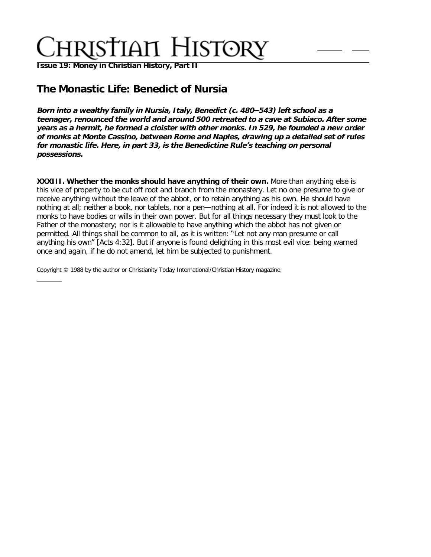## Christian History

**[Issue 19: Money in Christian History, Part II](http://ctlstaging/ch/cdrom/collection.html?id=329)**

### **The Monastic Life: Benedict of Nursia**

**Born into a wealthy family in Nursia, Italy, Benedict (c. 480–543) left school as a teenager, renounced the world and around 500 retreated to a cave at Subiaco. After some years as a hermit, he formed a cloister with other monks. In 529, he founded a new order of monks at Monte Cassino, between Rome and Naples, drawing up a detailed set of rules for monastic life. Here, in part 33, is the Benedictine Rule's teaching on personal possessions.** 

**XXXIII. Whether the monks should have anything of their own.** More than anything else is this vice of property to be cut off root and branch from the monastery. Let no one presume to give or receive anything without the leave of the abbot, or to retain anything as his own. He should have nothing at all; neither a book, nor tablets, nor a pen—nothing at all. For indeed it is not allowed to the monks to have bodies or wills in their own power. But for all things necessary they must look to the Father of the monastery; nor is it allowable to have anything which the abbot has not given or permitted. All things shall be common to all, as it is written: "Let not any man presume or call anything his own" [Acts 4:32]. But if anyone is found delighting in this most evil vice: being warned once and again, if he do not amend, let him be subjected to punishment.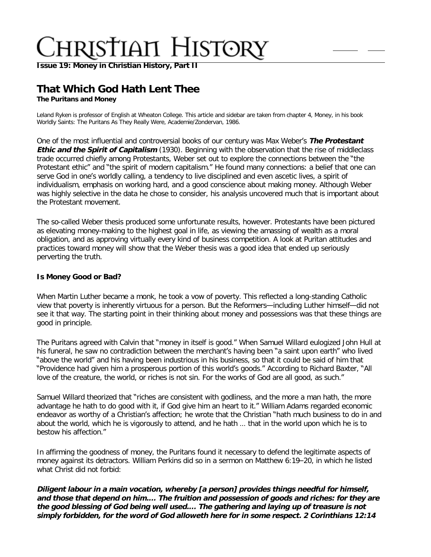# hristian History

**[Issue 19: Money in Christian History, Part II](http://ctlstaging/ch/cdrom/collection.html?id=329)**

### **That Which God Hath Lent Thee**

**The Puritans and Money**

Leland Ryken is professor of English at Wheaton College. This article and sidebar are taken from chapter 4, Money, in his book Worldly Saints: The Puritans As They Really Were, Academie/Zondervan, 1986.

One of the most influential and controversial books of our century was Max Weber's **The Protestant Ethic and the Spirit of Capitalism** (1930). Beginning with the observation that the rise of middleclass trade occurred chiefly among Protestants, Weber set out to explore the connections between the "the Protestant ethic" and "the spirit of modern capitalism." He found many connections: a belief that one can serve God in one's worldly calling, a tendency to live disciplined and even ascetic lives, a spirit of individualism, emphasis on working hard, and a good conscience about making money. Although Weber was highly selective in the data he chose to consider, his analysis uncovered much that is important about the Protestant movement.

The so-called Weber thesis produced some unfortunate results, however. Protestants have been pictured as elevating money-making to the highest goal in life, as viewing the amassing of wealth as a moral obligation, and as approving virtually every kind of business competition. A look at Puritan attitudes and practices toward money will show that the Weber thesis was a good idea that ended up seriously perverting the truth.

### **Is Money Good or Bad?**

When Martin Luther became a monk, he took a vow of poverty. This reflected a long-standing Catholic view that poverty is inherently virtuous for a person. But the Reformers—including Luther himself—did not see it that way. The starting point in their thinking about money and possessions was that these things are good in principle.

The Puritans agreed with Calvin that "money in itself is good." When Samuel Willard eulogized John Hull at his funeral, he saw no contradiction between the merchant's having been "a saint upon earth" who lived "above the world" and his having been industrious in his business, so that it could be said of him that "Providence had given him a prosperous portion of this world's goods." According to Richard Baxter, "All love of the creature, the world, or riches is not sin. For the works of God are all good, as such."

Samuel Willard theorized that "riches are consistent with godliness, and the more a man hath, the more advantage he hath to do good with it, if God give him an heart to it." William Adams regarded economic endeavor as worthy of a Christian's affection; he wrote that the Christian "hath much business to do in and about the world, which he is vigorously to attend, and he hath … that in the world upon which he is to bestow his affection."

In affirming the goodness of money, the Puritans found it necessary to defend the legitimate aspects of money against its detractors. William Perkins did so in a sermon on Matthew 6:19–20, in which he listed what Christ did not forbid:

**Diligent labour in a main vocation, whereby [a person] provides things needful for himself, and those that depend on him.… The fruition and possession of goods and riches: for they are the good blessing of God being well used.… The gathering and laying up of treasure is not simply forbidden, for the word of God alloweth here for in some respect. 2 Corinthians 12:14**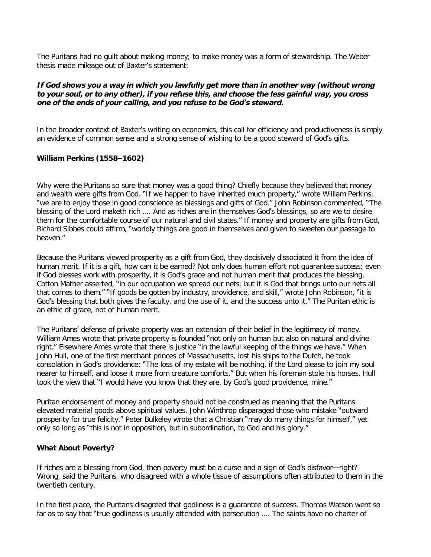The Puritans had no guilt about making money; to make money was a form of stewardship. The Weber thesis made mileage out of Baxter's statement:

### **If God shows you a way in which you lawfully get more than in another way (without wrong to your soul, or to any other), if you refuse this, and choose the less gainful way, you cross one of the ends of your calling, and you refuse to be God's steward.**

In the broader context of Baxter's writing on economics, this call for efficiency and productiveness is simply an evidence of common sense and a strong sense of wishing to be a good steward of God's gifts.

### **William Perkins (1558–1602)**

Why were the Puritans so sure that money was a good thing? Chiefly because they believed that money and wealth were gifts from God. "If we happen to have inherited much property," wrote William Perkins, "we are to enjoy those in good conscience as blessings and gifts of God." John Robinson commented, "The blessing of the Lord maketh rich .… And as riches are in themselves God's blessings, so are we to desire them for the comfortable course of our natural and civil states." If money and property are gifts from God, Richard Sibbes could affirm, "worldly things are good in themselves and given to sweeten our passage to heaven."

Because the Puritans viewed prosperity as a gift from God, they decisively dissociated it from the idea of human merit. If it is a gift, how can it be earned? Not only does human effort not guarantee success; even if God blesses work with prosperity, it is God's grace and not human merit that produces the blessing. Cotton Mather asserted, "in our occupation we spread our nets; but it is God that brings unto our nets all that comes to them." "If goods be gotten by industry, providence, and skill," wrote John Robinson, "it is God's blessing that both gives the faculty, and the use of it, and the success unto it." The Puritan ethic is an ethic of grace, not of human merit.

The Puritans' defense of private property was an extension of their belief in the legitimacy of money. William Ames wrote that private property is founded "not only on human but also on natural and divine right." Elsewhere Ames wrote that there is justice "in the lawful keeping of the things we have." When John Hull, one of the first merchant princes of Massachusetts, lost his ships to the Dutch, he took consolation in God's providence: "The loss of my estate will be nothing, if the Lord please to join my soul nearer to himself, and loose it more from creature comforts." But when his foreman stole his horses, Hull took the view that "I would have you know that they are, by God's good providence, mine."

Puritan endorsement of money and property should not be construed as meaning that the Puritans elevated material goods above spiritual values. John Winthrop disparaged those who mistake "outward prosperity for true felicity." Peter Bulkeley wrote that a Christian "may do many things for himself," yet only so long as "this is not in opposition, but in subordination, to God and his glory."

### **What About Poverty?**

If riches are a blessing from God, then poverty must be a curse and a sign of God's disfavor—right? Wrong, said the Puritans, who disagreed with a whole tissue of assumptions often attributed to them in the twentieth century.

In the first place, the Puritans disagreed that godliness is a guarantee of success. Thomas Watson went so far as to say that "true godliness is usually attended with persecution .… The saints have no charter of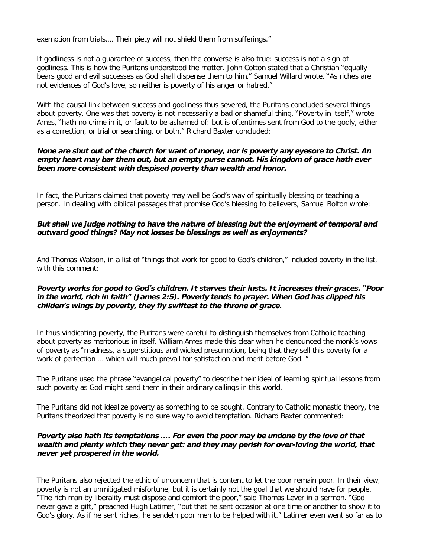exemption from trials.… Their piety will not shield them from sufferings."

If godliness is not a guarantee of success, then the converse is also true: success is not a sign of godliness. This is how the Puritans understood the matter. John Cotton stated that a Christian "equally bears good and evil successes as God shall dispense them to him." Samuel Willard wrote, "As riches are not evidences of God's love, so neither is poverty of his anger or hatred."

With the causal link between success and godliness thus severed, the Puritans concluded several things about poverty. One was that poverty is not necessarily a bad or shameful thing. "Poverty in itself," wrote Ames, "hath no crime in it, or fault to be ashamed of: but is oftentimes sent from God to the godly, either as a correction, or trial or searching, or both." Richard Baxter concluded:

### **None are shut out of the church for want of money, nor is poverty any eyesore to Christ. An empty heart may bar them out, but an empty purse cannot. His kingdom of grace hath ever been more consistent with despised poverty than wealth and honor.**

In fact, the Puritans claimed that poverty may well be God's way of spiritually blessing or teaching a person. In dealing with biblical passages that promise God's blessing to believers, Samuel Bolton wrote:

### **But shall we judge nothing to have the nature of blessing but the enjoyment of temporal and outward good things? May not losses be blessings as well as enjoyments?**

And Thomas Watson, in a list of "things that work for good to God's children," included poverty in the list. with this comment:

### **Poverty works for good to God's children. It starves their lusts. It increases their graces. "Poor in the world, rich in faith" (James 2:5). Poverly tends to prayer. When God has clipped his childen's wings by poverty, they fly swiftest to the throne of grace.**

In thus vindicating poverty, the Puritans were careful to distinguish themselves from Catholic teaching about poverty as meritorious in itself. William Ames made this clear when he denounced the monk's vows of poverty as "madness, a superstitious and wicked presumption, being that they sell this poverty for a work of perfection … which will much prevail for satisfaction and merit before God. "

The Puritans used the phrase "evangelical poverty" to describe their ideal of learning spiritual lessons from such poverty as God might send them in their ordinary callings in this world.

The Puritans did not idealize poverty as something to be sought. Contrary to Catholic monastic theory, the Puritans theorized that poverty is no sure way to avoid temptation. Richard Baxter commented:

### **Poverty also hath its temptations …. For even the poor may be undone by the love of that wealth and plenty which they never get: and they may perish for over-loving the world, that never yet prospered in the world.**

The Puritans also rejected the ethic of unconcern that is content to let the poor remain poor. In their view, poverty is not an unmitigated misfortune, but it is certainly not the goal that we should have for people. "The rich man by liberality must dispose and comfort the poor," said Thomas Lever in a sermon. "God never gave a gift," preached Hugh Latimer, "but that he sent occasion at one time or another to show it to God's glory. As if he sent riches, he sendeth poor men to be helped with it." Latimer even went so far as to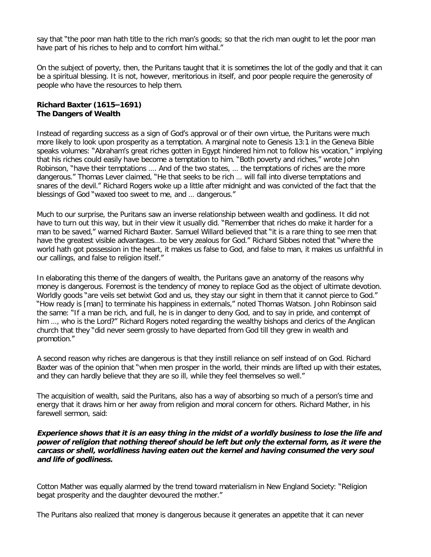say that "the poor man hath title to the rich man's goods; so that the rich man ought to let the poor man have part of his riches to help and to comfort him withal."

On the subject of poverty, then, the Puritans taught that it is sometimes the lot of the godly and that it can be a spiritual blessing. It is not, however, meritorious in itself, and poor people require the generosity of people who have the resources to help them.

#### **Richard Baxter (1615–1691) The Dangers of Wealth**

Instead of regarding success as a sign of God's approval or of their own virtue, the Puritans were much more likely to look upon prosperity as a temptation. A marginal note to Genesis 13:1 in the Geneva Bible speaks volumes: "Abraham's great riches gotten in Egypt hindered him not to follow his vocation," implying that his riches could easily have become a temptation to him. "Both poverty and riches," wrote John Robinson, "have their temptations …. And of the two states, … the temptations of riches are the more dangerous." Thomas Lever claimed, "He that seeks to be rich … will fall into diverse temptations and snares of the devil." Richard Rogers woke up a little after midnight and was convicted of the fact that the blessings of God "waxed too sweet to me, and … dangerous."

Much to our surprise, the Puritans saw an inverse relationship between wealth and godliness. It did not have to turn out this way, but in their view it usually did. "Remember that riches do make it harder for a man to be saved," warned Richard Baxter. Samuel Willard believed that "it is a rare thing to see men that have the greatest visible advantages…to be very zealous for God." Richard Sibbes noted that "where the world hath got possession in the heart, it makes us false to God, and false to man, it makes us unfaithful in our callings, and false to religion itself."

In elaborating this theme of the dangers of wealth, the Puritans gave an anatomy of the reasons why money is dangerous. Foremost is the tendency of money to replace God as the object of ultimate devotion. Worldly goods "are veils set betwixt God and us, they stay our sight in them that it cannot pierce to God." "How ready is [man] to terminate his happiness in externals," noted Thomas Watson. John Robinson said the same: "If a man be rich, and full, he is in danger to deny God, and to say in pride, and contempt of him …, who is the Lord?" Richard Rogers noted regarding the wealthy bishops and clerics of the Anglican church that they "did never seem grossly to have departed from God till they grew in wealth and promotion."

A second reason why riches are dangerous is that they instill reliance on self instead of on God. Richard Baxter was of the opinion that "when men prosper in the world, their minds are lifted up with their estates, and they can hardly believe that they are so ill, while they feel themselves so well."

The acquisition of wealth, said the Puritans, also has a way of absorbing so much of a person's time and energy that it draws him or her away from religion and moral concern for others. Richard Mather, in his farewell sermon, said:

### **Experience shows that it is an easy thing in the midst of a worldly business to lose the life and power of religion that nothing thereof should be left but only the external form, as it were the carcass or shell, worldliness having eaten out the kernel and having consumed the very soul and life of godliness.**

Cotton Mather was equally alarmed by the trend toward materialism in New England Society: "Religion begat prosperity and the daughter devoured the mother."

The Puritans also realized that money is dangerous because it generates an appetite that it can never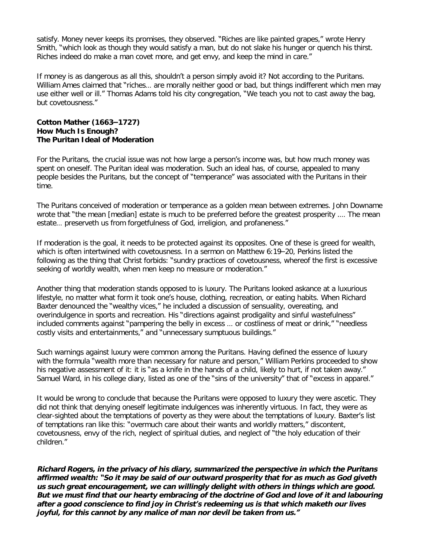satisfy. Money never keeps its promises, they observed. "Riches are like painted grapes," wrote Henry Smith, "which look as though they would satisfy a man, but do not slake his hunger or quench his thirst. Riches indeed do make a man covet more, and get envy, and keep the mind in care."

If money is as dangerous as all this, shouldn't a person simply avoid it? Not according to the Puritans. William Ames claimed that "riches… are morally neither good or bad, but things indifferent which men may use either well or ill." Thomas Adams told his city congregation, "We teach you not to cast away the bag, but covetousness."

### **Cotton Mather (1663–1727) How Much Is Enough? The Puritan Ideal of Moderation**

For the Puritans, the crucial issue was not how large a person's income was, but how much money was spent on oneself. The Puritan ideal was moderation. Such an ideal has, of course, appealed to many people besides the Puritans, but the concept of "temperance" was associated with the Puritans in their time.

The Puritans conceived of moderation or temperance as a golden mean between extremes. John Downame wrote that "the mean [median] estate is much to be preferred before the greatest prosperity .… The mean estate… preserveth us from forgetfulness of God, irreligion, and profaneness."

If moderation is the goal, it needs to be protected against its opposites. One of these is greed for wealth, which is often intertwined with covetousness. In a sermon on Matthew 6:19–20, Perkins listed the following as the thing that Christ forbids: "sundry practices of covetousness, whereof the first is excessive seeking of worldly wealth, when men keep no measure or moderation."

Another thing that moderation stands opposed to is luxury. The Puritans looked askance at a luxurious lifestyle, no matter what form it took one's house, clothing, recreation, or eating habits. When Richard Baxter denounced the "wealthy vices," he included a discussion of sensuality, overeating, and overindulgence in sports and recreation. His "directions against prodigality and sinful wastefulness" included comments against "pampering the belly in excess … or costliness of meat or drink," "needless costly visits and entertainments," and "unnecessary sumptuous buildings."

Such warnings against luxury were common among the Puritans. Having defined the essence of luxury with the formula "wealth more than necessary for nature and person," William Perkins proceeded to show his negative assessment of it: it is "as a knife in the hands of a child, likely to hurt, if not taken away." Samuel Ward, in his college diary, listed as one of the "sins of the university" that of "excess in apparel."

It would be wrong to conclude that because the Puritans were opposed to luxury they were ascetic. They did not think that denying oneself legitimate indulgences was inherently virtuous. In fact, they were as clear-sighted about the temptations of poverty as they were about the temptations of luxury. Baxter's list of temptations ran like this: "overmuch care about their wants and worldly matters," discontent, covetousness, envy of the rich, neglect of spiritual duties, and neglect of "the holy education of their children."

**Richard Rogers, in the privacy of his diary, summarized the perspective in which the Puritans affirmed wealth: "So it may be said of our outward prosperity that for as much as God giveth us such great encouragement, we can willingly delight with others in things which are good. But we must find that our hearty embracing of the doctrine of God and love of it and labouring after a good conscience to find joy in Christ's redeeming us is that which maketh our lives joyful, for this cannot by any malice of man nor devil be taken from us."**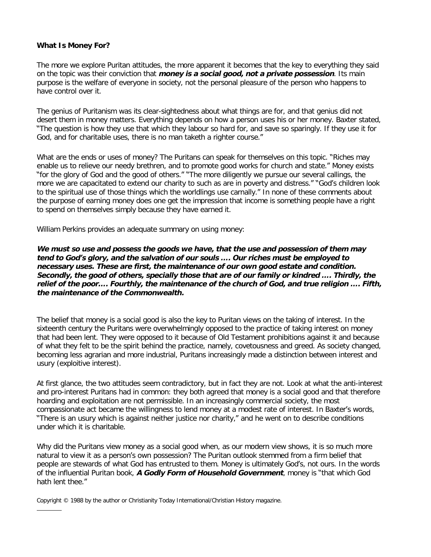#### **What Is Money For?**

The more we explore Puritan attitudes, the more apparent it becomes that the key to everything they said on the topic was their conviction that **money is a social good, not a private possession**. Its main purpose is the welfare of everyone in society, not the personal pleasure of the person who happens to have control over it.

The genius of Puritanism was its clear-sightedness about what things are for, and that genius did not desert them in money matters. Everything depends on how a person uses his or her money. Baxter stated, "The question is how they use that which they labour so hard for, and save so sparingly. If they use it for God, and for charitable uses, there is no man taketh a righter course."

What are the ends or uses of money? The Puritans can speak for themselves on this topic. "Riches may enable us to relieve our needy brethren, and to promote good works for church and state." Money exists "for the glory of God and the good of others." "The more diligently we pursue our several callings, the more we are capacitated to extend our charity to such as are in poverty and distress." "God's children look to the spiritual use of those things which the worldlings use carnally." In none of these comments about the purpose of earning money does one get the impression that income is something people have a right to spend on themselves simply because they have earned it.

William Perkins provides an adequate summary on using money:

**We must so use and possess the goods we have, that the use and possession of them may tend to God's glory, and the salvation of our souls …. Our riches must be employed to necessary uses. These are first, the maintenance of our own good estate and condition. Secondly, the good of others, specially those that are of our family or kindred …. Thirdly, the relief of the poor…. Fourthly, the maintenance of the church of God, and true religion …. Fifth, the maintenance of the Commonwealth.**

The belief that money is a social good is also the key to Puritan views on the taking of interest. In the sixteenth century the Puritans were overwhelmingly opposed to the practice of taking interest on money that had been lent. They were opposed to it because of Old Testament prohibitions against it and because of what they felt to be the spirit behind the practice, namely, covetousness and greed. As society changed, becoming less agrarian and more industrial, Puritans increasingly made a distinction between interest and usury (exploitive interest).

At first glance, the two attitudes seem contradictory, but in fact they are not. Look at what the anti-interest and pro-interest Puritans had in common: they both agreed that money is a social good and that therefore hoarding and exploitation are not permissible. In an increasingly commercial society, the most compassionate act became the willingness to lend money at a modest rate of interest. In Baxter's words, "There is an usury which is against neither justice nor charity," and he went on to describe conditions under which it is charitable.

Why did the Puritans view money as a social good when, as our modern view shows, it is so much more natural to view it as a person's own possession? The Puritan outlook stemmed from a firm belief that people are stewards of what God has entrusted to them. Money is ultimately God's, not ours. In the words of the influential Puritan book, **A Godly Form of Household Government**, money is "that which God hath lent thee."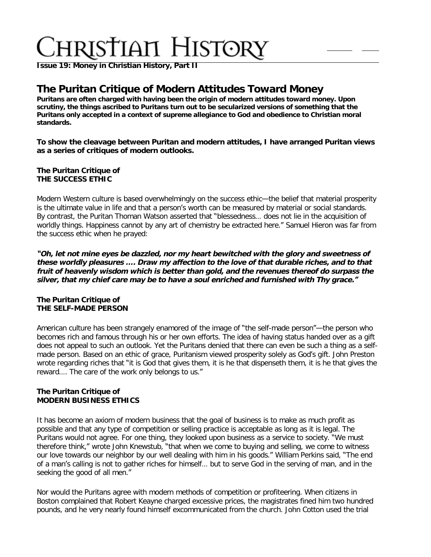# hristian Histor

**[Issue 19: Money in Christian History, Part II](http://ctlstaging/ch/cdrom/collection.html?id=329)**

### **The Puritan Critique of Modern Attitudes Toward Money**

**Puritans are often charged with having been the origin of modern attitudes toward money. Upon scrutiny, the things ascribed to Puritans turn out to be secularized versions of something that the Puritans only accepted in a context of supreme allegiance to God and obedience to Christian moral standards.**

**To show the cleavage between Puritan and modern attitudes, I have arranged Puritan views as a series of critiques of modern outlooks.**

### **The Puritan Critique of THE SUCCESS ETHIC**

Modern Western culture is based overwhelmingly on the success ethic—the belief that material prosperity is the ultimate value in life and that a person's worth can be measured by material or social standards. By contrast, the Puritan Thoman Watson asserted that "blessedness… does not lie in the acquisition of worldly things. Happiness cannot by any art of chemistry be extracted here." Samuel Hieron was far from the success ethic when he prayed:

**"Oh, let not mine eyes be dazzled, nor my heart bewitched with the glory and sweetness of these worldly pleasures …. Draw my affection to the love of that durable riches, and to that fruit of heavenly wisdom which is better than gold, and the revenues thereof do surpass the silver, that my chief care may be to have a soul enriched and furnished with Thy grace."**

### **The Puritan Critique of THE SELF-MADE PERSON**

American culture has been strangely enamored of the image of "the self-made person"—the person who becomes rich and famous through his or her own efforts. The idea of having status handed over as a gift does not appeal to such an outlook. Yet the Puritans denied that there can even be such a thing as a selfmade person. Based on an ethic of grace, Puritanism viewed prosperity solely as God's gift. John Preston wrote regarding riches that "it is God that gives them, it is he that dispenseth them, it is he that gives the reward…. The care of the work only belongs to us."

### **The Puritan Critique of MODERN BUSINESS ETHICS**

It has become an axiom of modern business that the goal of business is to make as much profit as possible and that any type of competition or selling practice is acceptable as long as it is legal. The Puritans would not agree. For one thing, they looked upon business as a service to society. "We must therefore think," wrote John Knewstub, "that when we come to buying and selling, we come to witness our love towards our neighbor by our well dealing with him in his goods." William Perkins said, "The end of a man's calling is not to gather riches for himself… but to serve God in the serving of man, and in the seeking the good of all men."

Nor would the Puritans agree with modern methods of competition or profiteering. When citizens in Boston complained that Robert Keayne charged excessive prices, the magistrates fined him two hundred pounds, and he very nearly found himself excommunicated from the church. John Cotton used the trial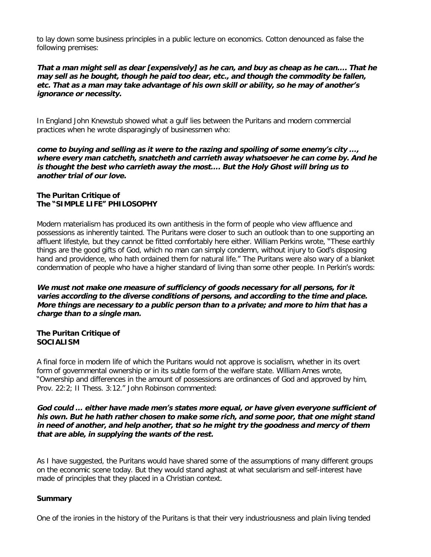to lay down some business principles in a public lecture on economics. Cotton denounced as false the following premises:

### **That a man might sell as dear [expensively] as he can, and buy as cheap as he can…. That he may sell as he bought, though he paid too dear, etc., and though the commodity be fallen, etc. That as a man may take advantage of his own skill or ability, so he may of another'<sup>s</sup> ignorance or necessity.**

In England John Knewstub showed what a gulf lies between the Puritans and modern commercial practices when he wrote disparagingly of businessmen who:

**come to buying and selling as it were to the razing and spoiling of some enemy's city …, where every man catcheth, snatcheth and carrieth away whatsoever he can come by. And he is thought the best who carrieth away the most…. But the Holy Ghost will bring us to another trial of our love.**

### **The Puritan Critique of The "SIMPLE LIFE" PHILOSOPHY**

Modern materialism has produced its own antithesis in the form of people who view affluence and possessions as inherently tainted. The Puritans were closer to such an outlook than to one supporting an affluent lifestyle, but they cannot be fitted comfortably here either. William Perkins wrote, "These earthly things are the good gifts of God, which no man can simply condemn, without injury to God's disposing hand and providence, who hath ordained them for natural life." The Puritans were also wary of a blanket condemnation of people who have a higher standard of living than some other people. In Perkin's words:

**We must not make one measure of sufficiency of goods necessary for all persons, for it varies according to the diverse conditions of persons, and according to the time and place. More things are necessary to a public person than to a private; and more to him that has a charge than to a single man.**

### **The Puritan Critique of SOCIALISM**

A final force in modern life of which the Puritans would not approve is socialism, whether in its overt form of governmental ownership or in its subtle form of the welfare state. William Ames wrote, "Ownership and differences in the amount of possessions are ordinances of God and approved by him, Prov. 22:2; II Thess. 3:12." John Robinson commented:

**God could … either have made men's states more equal, or have given everyone sufficient of his own. But he hath rather chosen to make some rich, and some poor, that one might stand in need of another, and help another, that so he might try the goodness and mercy of them that are able, in supplying the wants of the rest.**

As I have suggested, the Puritans would have shared some of the assumptions of many different groups on the economic scene today. But they would stand aghast at what secularism and self-interest have made of principles that they placed in a Christian context.

### **Summary**

One of the ironies in the history of the Puritans is that their very industriousness and plain living tended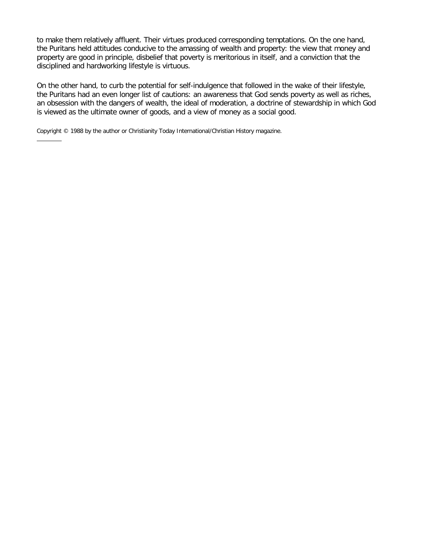to make them relatively affluent. Their virtues produced corresponding temptations. On the one hand, the Puritans held attitudes conducive to the amassing of wealth and property: the view that money and property are good in principle, disbelief that poverty is meritorious in itself, and a conviction that the disciplined and hardworking lifestyle is virtuous.

On the other hand, to curb the potential for self-indulgence that followed in the wake of their lifestyle, the Puritans had an even longer list of cautions: an awareness that God sends poverty as well as riches, an obsession with the dangers of wealth, the ideal of moderation, a doctrine of stewardship in which God is viewed as the ultimate owner of goods, and a view of money as a social good.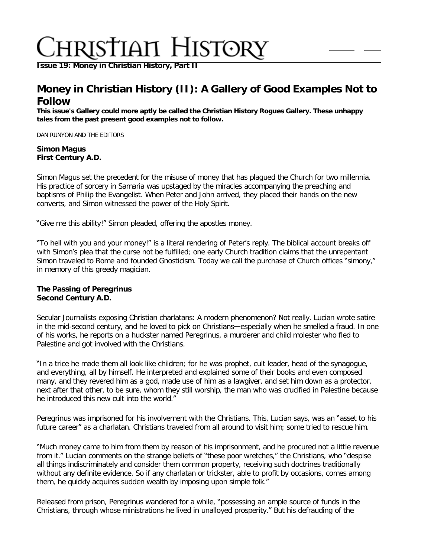### Christian Histor

**[Issue 19: Money in Christian History, Part II](http://ctlstaging/ch/cdrom/collection.html?id=329)**

### **Money in Christian History (II): A Gallery of Good Examples Not to Follow**

**This issue's Gallery could more aptly be called the Christian History Rogues Gallery. These unhappy tales from the past present good examples not to follow.**

DAN RUNYON AND THE EDITORS

### **Simon Magus First Century A.D.**

Simon Magus set the precedent for the misuse of money that has plagued the Church for two millennia. His practice of sorcery in Samaria was upstaged by the miracles accompanying the preaching and baptisms of Philip the Evangelist. When Peter and John arrived, they placed their hands on the new converts, and Simon witnessed the power of the Holy Spirit.

"Give me this ability!" Simon pleaded, offering the apostles money.

"To hell with you and your money!" is a literal rendering of Peter's reply. The biblical account breaks off with Simon's plea that the curse not be fulfilled; one early Church tradition claims that the unrepentant Simon traveled to Rome and founded Gnosticism. Today we call the purchase of Church offices "simony," in memory of this greedy magician.

### **The Passing of Peregrinus Second Century A.D.**

Secular Journalists exposing Christian charlatans: A modern phenomenon? Not really. Lucian wrote satire in the mid-second century, and he loved to pick on Christians—especially when he smelled a fraud. In one of his works, he reports on a huckster named Peregrinus, a murderer and child molester who fled to Palestine and got involved with the Christians.

"In a trice he made them all look like children; for he was prophet, cult leader, head of the synagogue, and everything, all by himself. He interpreted and explained some of their books and even composed many, and they revered him as a god, made use of him as a lawgiver, and set him down as a protector, next after that other, to be sure, whom they still worship, the man who was crucified in Palestine because he introduced this new cult into the world."

Peregrinus was imprisoned for his involvement with the Christians. This, Lucian says, was an "asset to his future career" as a charlatan. Christians traveled from all around to visit him; some tried to rescue him.

"Much money came to him from them by reason of his imprisonment, and he procured not a little revenue from it." Lucian comments on the strange beliefs of "these poor wretches," the Christians, who "despise all things indiscriminately and consider them common property, receiving such doctrines traditionally without any definite evidence. So if any charlatan or trickster, able to profit by occasions, comes among them, he quickly acquires sudden wealth by imposing upon simple folk."

Released from prison, Peregrinus wandered for a while, "possessing an ample source of funds in the Christians, through whose ministrations he lived in unalloyed prosperity." But his defrauding of the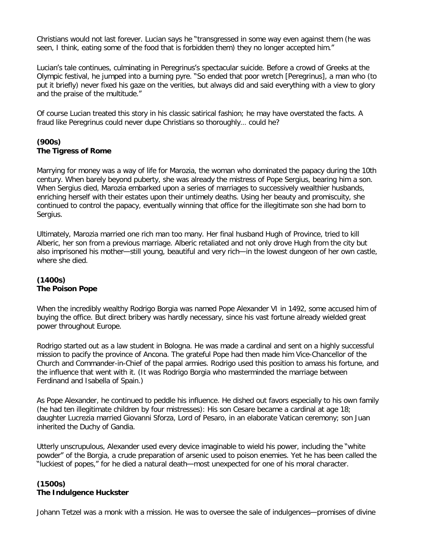Christians would not last forever. Lucian says he "transgressed in some way even against them (he was seen, I think, eating some of the food that is forbidden them) they no longer accepted him."

Lucian's tale continues, culminating in Peregrinus's spectacular suicide. Before a crowd of Greeks at the Olympic festival, he jumped into a burning pyre. "So ended that poor wretch [Peregrinus], a man who (to put it briefly) never fixed his gaze on the verities, but always did and said everything with a view to glory and the praise of the multitude."

Of course Lucian treated this story in his classic satirical fashion; he may have overstated the facts. A fraud like Peregrinus could never dupe Christians so thoroughly… could he?

### **(900s) The Tigress of Rome**

Marrying for money was a way of life for Marozia, the woman who dominated the papacy during the 10th century. When barely beyond puberty, she was already the mistress of Pope Sergius, bearing him a son. When Sergius died, Marozia embarked upon a series of marriages to successively wealthier husbands, enriching herself with their estates upon their untimely deaths. Using her beauty and promiscuity, she continued to control the papacy, eventually winning that office for the illegitimate son she had born to Sergius.

Ultimately, Marozia married one rich man too many. Her final husband Hugh of Province, tried to kill Alberic, her son from a previous marriage. Alberic retaliated and not only drove Hugh from the city but also imprisoned his mother—still young, beautiful and very rich—in the lowest dungeon of her own castle, where she died.

### **(1400s) The Poison Pope**

When the incredibly wealthy Rodrigo Borgia was named Pope Alexander VI in 1492, some accused him of buying the office. But direct bribery was hardly necessary, since his vast fortune already wielded great power throughout Europe.

Rodrigo started out as a law student in Bologna. He was made a cardinal and sent on a highly successful mission to pacify the province of Ancona. The grateful Pope had then made him Vice-Chancellor of the Church and Commander-in-Chief of the papal armies. Rodrigo used this position to amass his fortune, and the influence that went with it. (It was Rodrigo Borgia who masterminded the marriage between Ferdinand and Isabella of Spain.)

As Pope Alexander, he continued to peddle his influence. He dished out favors especially to his own family (he had ten illegitimate children by four mistresses): His son Cesare became a cardinal at age 18; daughter Lucrezia married Giovanni Sforza, Lord of Pesaro, in an elaborate Vatican ceremony; son Juan inherited the Duchy of Gandia.

Utterly unscrupulous, Alexander used every device imaginable to wield his power, including the "white powder" of the Borgia, a crude preparation of arsenic used to poison enemies. Yet he has been called the "luckiest of popes," for he died a natural death—most unexpected for one of his moral character.

### **(1500s) The Indulgence Huckster**

Johann Tetzel was a monk with a mission. He was to oversee the sale of indulgences—promises of divine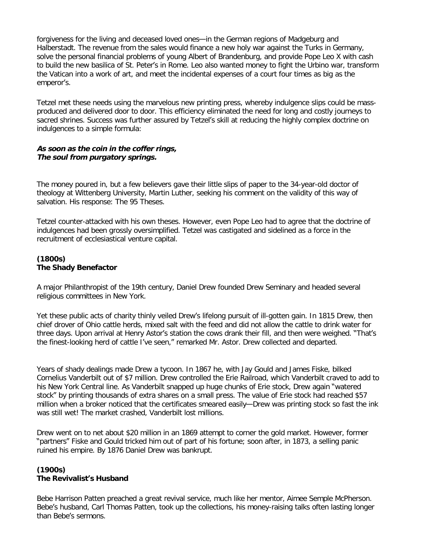forgiveness for the living and deceased loved ones—in the German regions of Madgeburg and Halberstadt. The revenue from the sales would finance a new holy war against the Turks in Germany, solve the personal financial problems of young Albert of Brandenburg, and provide Pope Leo X with cash to build the new basilica of St. Peter's in Rome. Leo also wanted money to fight the Urbino war, transform the Vatican into a work of art, and meet the incidental expenses of a court four times as big as the emperor's.

Tetzel met these needs using the marvelous new printing press, whereby indulgence slips could be massproduced and delivered door to door. This efficiency eliminated the need for long and costly journeys to sacred shrines. Success was further assured by Tetzel's skill at reducing the highly complex doctrine on indulgences to a simple formula:

### **As soon as the coin in the coffer rings, The soul from purgatory springs.**

The money poured in, but a few believers gave their little slips of paper to the 34-year-old doctor of theology at Wittenberg University, Martin Luther, seeking his comment on the validity of this way of salvation. His response: The 95 Theses.

Tetzel counter-attacked with his own theses. However, even Pope Leo had to agree that the doctrine of indulgences had been grossly oversimplified. Tetzel was castigated and sidelined as a force in the recruitment of ecclesiastical venture capital.

### **(1800s) The Shady Benefactor**

A major Philanthropist of the 19th century, Daniel Drew founded Drew Seminary and headed several religious committees in New York.

Yet these public acts of charity thinly veiled Drew's lifelong pursuit of ill-gotten gain. In 1815 Drew, then chief drover of Ohio cattle herds, mixed salt with the feed and did not allow the cattle to drink water for three days. Upon arrival at Henry Astor's station the cows drank their fill, and then were weighed. "That's the finest-looking herd of cattle I've seen," remarked Mr. Astor. Drew collected and departed.

Years of shady dealings made Drew a tycoon. In 1867 he, with Jay Gould and James Fiske, bilked Cornelius Vanderbilt out of \$7 million. Drew controlled the Erie Railroad, which Vanderbilt craved to add to his New York Central line. As Vanderbilt snapped up huge chunks of Erie stock, Drew again "watered stock" by printing thousands of extra shares on a small press. The value of Erie stock had reached \$57 million when a broker noticed that the certificates smeared easily—Drew was printing stock so fast the ink was still wet! The market crashed, Vanderbilt lost millions.

Drew went on to net about \$20 million in an 1869 attempt to corner the gold market. However, former "partners" Fiske and Gould tricked him out of part of his fortune; soon after, in 1873, a selling panic ruined his empire. By 1876 Daniel Drew was bankrupt.

### **(1900s) The Revivalist's Husband**

Bebe Harrison Patten preached a great revival service, much like her mentor, Aimee Semple McPherson. Bebe's husband, Carl Thomas Patten, took up the collections, his money-raising talks often lasting longer than Bebe's sermons.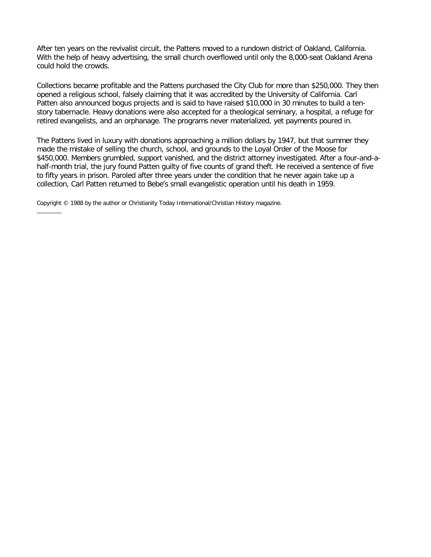After ten years on the revivalist circuit, the Pattens moved to a rundown district of Oakland, California. With the help of heavy advertising, the small church overflowed until only the 8,000-seat Oakland Arena could hold the crowds.

Collections became profitable and the Pattens purchased the City Club for more than \$250,000. They then opened a religious school, falsely claiming that it was accredited by the University of California. Carl Patten also announced bogus projects and is said to have raised \$10,000 in 30 minutes to build a tenstory tabernacle. Heavy donations were also accepted for a theological seminary, a hospital, a refuge for retired evangelists, and an orphanage. The programs never materialized, yet payments poured in.

The Pattens lived in luxury with donations approaching a million dollars by 1947, but that summer they made the mistake of selling the church, school, and grounds to the Loyal Order of the Moose for \$450,000. Members grumbled, support vanished, and the district attorney investigated. After a four-and-ahalf-month trial, the jury found Patten guilty of five counts of grand theft. He received a sentence of five to fifty years in prison. Paroled after three years under the condition that he never again take up a collection, Carl Patten returned to Bebe's small evangelistic operation until his death in 1959.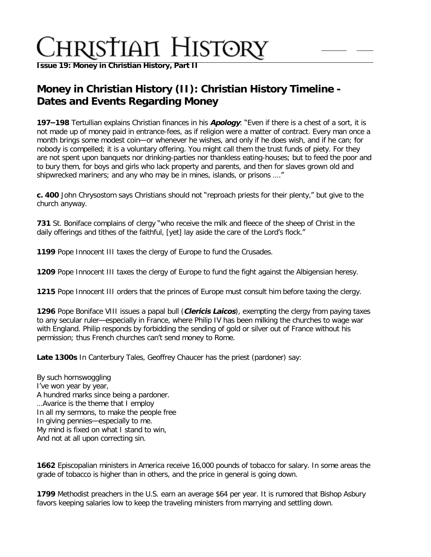# Christian History

**[Issue 19: Money in Christian History, Part II](http://ctlstaging/ch/cdrom/collection.html?id=329)**

### **Money in Christian History (II): Christian History Timeline - Dates and Events Regarding Money**

**197–198** Tertullian explains Christian finances in his **Apology**: "Even if there is a chest of a sort, it is not made up of money paid in entrance-fees, as if religion were a matter of contract. Every man once a month brings some modest coin—or whenever he wishes, and only if he does wish, and if he can; for nobody is compelled; it is a voluntary offering. You might call them the trust funds of piety. For they are not spent upon banquets nor drinking-parties nor thankless eating-houses; but to feed the poor and to bury them, for boys and girls who lack property and parents, and then for slaves grown old and shipwrecked mariners; and any who may be in mines, islands, or prisons …."

**c. 400** John Chrysostom says Christians should not "reproach priests for their plenty," but give to the church anyway.

**731** St. Boniface complains of clergy "who receive the milk and fleece of the sheep of Christ in the daily offerings and tithes of the faithful, [yet] lay aside the care of the Lord's flock."

**1199** Pope Innocent III taxes the clergy of Europe to fund the Crusades.

**1209** Pope Innocent III taxes the clergy of Europe to fund the fight against the Albigensian heresy.

**1215** Pope Innocent III orders that the princes of Europe must consult him before taxing the clergy.

**1296** Pope Boniface VIII issues a papal bull (**Clericis Laicos**), exempting the clergy from paying taxes to any secular ruler—especially in France, where Philip IV has been milking the churches to wage war with England. Philip responds by forbidding the sending of gold or silver out of France without his permission; thus French churches can't send money to Rome.

**Late 1300s** In Canterbury Tales, Geoffrey Chaucer has the priest (pardoner) say:

By such hornswoggling I've won year by year, A hundred marks since being a pardoner. …Avarice is the theme that I employ In all my sermons, to make the people free In giving pennies—especially to me. My mind is fixed on what I stand to win, And not at all upon correcting sin.

**1662** Episcopalian ministers in America receive 16,000 pounds of tobacco for salary. In some areas the grade of tobacco is higher than in others, and the price in general is going down.

**1799** Methodist preachers in the U.S. earn an average \$64 per year. It is rumored that Bishop Asbury favors keeping salaries low to keep the traveling ministers from marrying and settling down.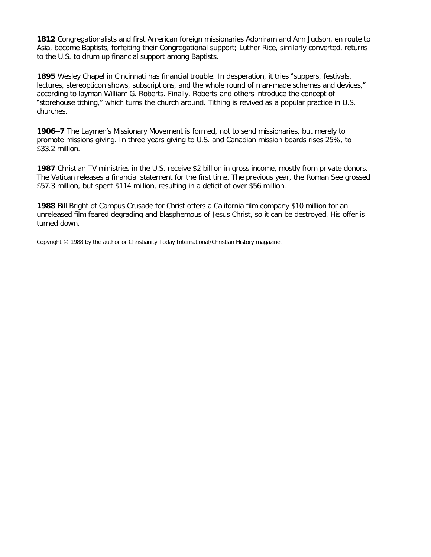**1812** Congregationalists and first American foreign missionaries Adoniram and Ann Judson, en route to Asia, become Baptists, forfeiting their Congregational support; Luther Rice, similarly converted, returns to the U.S. to drum up financial support among Baptists.

**1895** Wesley Chapel in Cincinnati has financial trouble. In desperation, it tries "suppers, festivals, lectures, stereopticon shows, subscriptions, and the whole round of man-made schemes and devices," according to layman William G. Roberts. Finally, Roberts and others introduce the concept of "storehouse tithing," which turns the church around. Tithing is revived as a popular practice in U.S. churches.

**1906–7** The Laymen's Missionary Movement is formed, not to send missionaries, but merely to promote missions giving. In three years giving to U.S. and Canadian mission boards rises 25%, to \$33.2 million.

**1987** Christian TV ministries in the U.S. receive \$2 billion in gross income, mostly from private donors. The Vatican releases a financial statement for the first time. The previous year, the Roman See grossed \$57.3 million, but spent \$114 million, resulting in a deficit of over \$56 million.

**1988** Bill Bright of Campus Crusade for Christ offers a California film company \$10 million for an unreleased film feared degrading and blasphemous of Jesus Christ, so it can be destroyed. His offer is turned down.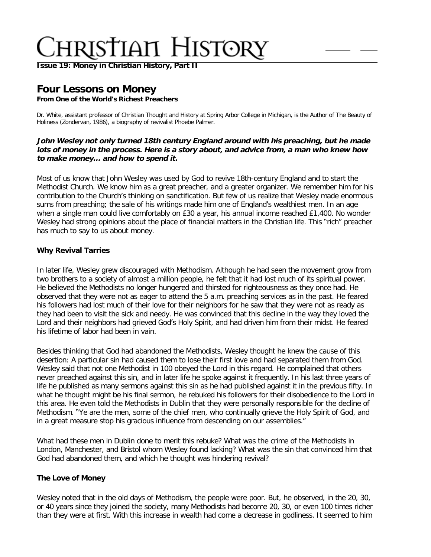# hristian Histor

**[Issue 19: Money in Christian History, Part II](http://ctlstaging/ch/cdrom/collection.html?id=329)**

### **Four Lessons on Money**

**From One of the World's Richest Preachers**

Dr. White, assistant professor of Christian Thought and History at Spring Arbor College in Michigan, is the Author of The Beauty of Holiness (Zondervan, 1986), a biography of revivalist Phoebe Palmer.

### **John Wesley not only turned 18th century England around with his preaching, but he made lots of money in the process. Here is a story about, and advice from, a man who knew how to make money… and how to spend it.**

Most of us know that John Wesley was used by God to revive 18th-century England and to start the Methodist Church. We know him as a great preacher, and a greater organizer. We remember him for his contribution to the Church's thinking on sanctification. But few of us realize that Wesley made enormous sums from preaching; the sale of his writings made him one of England's wealthiest men. In an age when a single man could live comfortably on £30 a year, his annual income reached £1,400. No wonder Wesley had strong opinions about the place of financial matters in the Christian life. This "rich" preacher has much to say to us about money.

### **Why Revival Tarries**

In later life, Wesley grew discouraged with Methodism. Although he had seen the movement grow from two brothers to a society of almost a million people, he felt that it had lost much of its spiritual power. He believed the Methodists no longer hungered and thirsted for righteousness as they once had. He observed that they were not as eager to attend the 5 a.m. preaching services as in the past. He feared his followers had lost much of their love for their neighbors for he saw that they were not as ready as they had been to visit the sick and needy. He was convinced that this decline in the way they loved the Lord and their neighbors had grieved God's Holy Spirit, and had driven him from their midst. He feared his lifetime of labor had been in vain.

Besides thinking that God had abandoned the Methodists, Wesley thought he knew the cause of this desertion: A particular sin had caused them to lose their first love and had separated them from God. Wesley said that not one Methodist in 100 obeyed the Lord in this regard. He complained that others never preached against this sin, and in later life he spoke against it frequently. In his last three years of life he published as many sermons against this sin as he had published against it in the previous fifty. In what he thought might be his final sermon, he rebuked his followers for their disobedience to the Lord in this area. He even told the Methodists in Dublin that they were personally responsible for the decline of Methodism. "Ye are the men, some of the chief men, who continually grieve the Holy Spirit of God, and in a great measure stop his gracious influence from descending on our assemblies."

What had these men in Dublin done to merit this rebuke? What was the crime of the Methodists in London, Manchester, and Bristol whom Wesley found lacking? What was the sin that convinced him that God had abandoned them, and which he thought was hindering revival?

### **The Love of Money**

Wesley noted that in the old days of Methodism, the people were poor. But, he observed, in the 20, 30, or 40 years since they joined the society, many Methodists had become 20, 30, or even 100 times richer than they were at first. With this increase in wealth had come a decrease in godliness. It seemed to him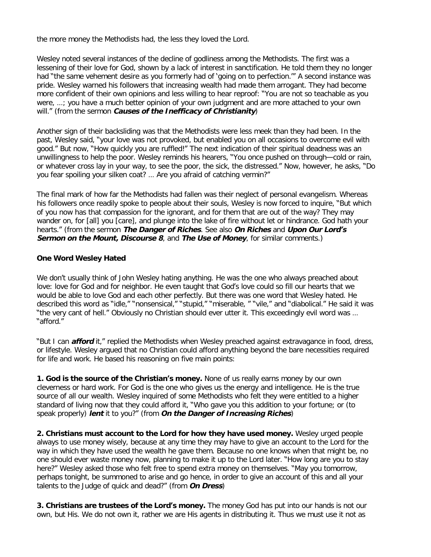the more money the Methodists had, the less they loved the Lord.

Wesley noted several instances of the decline of godliness among the Methodists. The first was a lessening of their love for God, shown by a lack of interest in sanctification. He told them they no longer had "the same vehement desire as you formerly had of 'going on to perfection." A second instance was pride. Wesley warned his followers that increasing wealth had made them arrogant. They had become more confident of their own opinions and less willing to hear reproof: "You are not so teachable as you were, …; you have a much better opinion of your own judgment and are more attached to your own will." (from the sermon **Causes of the Inefficacy of Christianity**)

Another sign of their backsliding was that the Methodists were less meek than they had been. In the past, Wesley said, "your love was not provoked, but enabled you on all occasions to overcome evil with good." But now, "How quickly you are ruffled!" The next indication of their spiritual deadness was an unwillingness to help the poor. Wesley reminds his hearers, "You once pushed on through—cold or rain, or whatever cross lay in your way, to see the poor, the sick, the distressed." Now, however, he asks, "Do you fear spoiling your silken coat? … Are you afraid of catching vermin?"

The final mark of how far the Methodists had fallen was their neglect of personal evangelism. Whereas his followers once readily spoke to people about their souls, Wesley is now forced to inquire, "But which of you now has that compassion for the ignorant, and for them that are out of the way? They may wander on, for [all] you [care], and plunge into the lake of fire without let or hindrance. God hath your hearts." (from the sermon **The Danger of Riches**. See also **On Riches** and **Upon Our Lord'<sup>s</sup> Sermon on the Mount, Discourse 8**, and **The Use of Money**, for similar comments.)

#### **One Word Wesley Hated**

We don't usually think of John Wesley hating anything. He was the one who always preached about love: love for God and for neighbor. He even taught that God's love could so fill our hearts that we would be able to love God and each other perfectly. But there was one word that Wesley hated. He described this word as "idle," "nonsensical," "stupid," "miserable, " "vile," and "diabolical." He said it was "the very cant of hell." Obviously no Christian should ever utter it. This exceedingly evil word was … "afford."

"But I can **afford** it," replied the Methodists when Wesley preached against extravagance in food, dress, or lifestyle. Wesley argued that no Christian could afford anything beyond the bare necessities required for life and work. He based his reasoning on five main points:

**1. God is the source of the Christian's money.** None of us really earns money by our own cleverness or hard work. For God is the one who gives us the energy and intelligence. He is the true source of all our wealth. Wesley inquired of some Methodists who felt they were entitled to a higher standard of living now that they could afford it, "Who gave you this addition to your fortune; or (to speak properly) **lent** it to you?" (from **On the Danger of Increasing Riches**)

**2. Christians must account to the Lord for how they have used money.** Wesley urged people always to use money wisely, because at any time they may have to give an account to the Lord for the way in which they have used the wealth he gave them. Because no one knows when that might be, no one should ever waste money now, planning to make it up to the Lord later. "How long are you to stay here?" Wesley asked those who felt free to spend extra money on themselves. "May you tomorrow, perhaps tonight, be summoned to arise and go hence, in order to give an account of this and all your talents to the Judge of quick and dead?" (from **On Dress**)

**3. Christians are trustees of the Lord's money.** The money God has put into our hands is not our own, but His. We do not own it, rather we are His agents in distributing it. Thus we must use it not as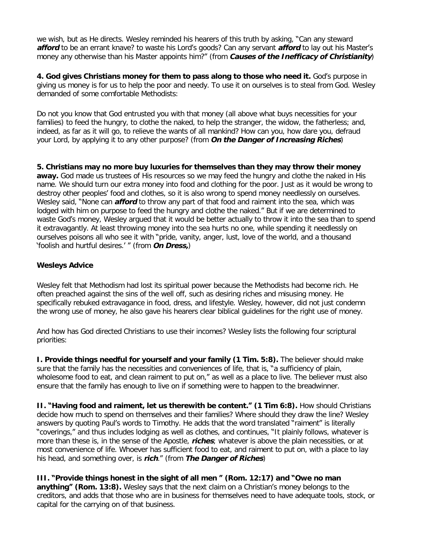we wish, but as He directs. Wesley reminded his hearers of this truth by asking, "Can any steward **afford** to be an errant knave? to waste his Lord's goods? Can any servant **afford** to lay out his Master's money any otherwise than his Master appoints him?" (from **Causes of the Inefficacy of Christianity**)

**4. God gives Christians money for them to pass along to those who need it.** God's purpose in giving us money is for us to help the poor and needy. To use it on ourselves is to steal from God. Wesley demanded of some comfortable Methodists:

Do not you know that God entrusted you with that money (all above what buys necessities for your families) to feed the hungry, to clothe the naked, to help the stranger, the widow, the fatherless; and, indeed, as far as it will go, to relieve the wants of all mankind? How can you, how dare you, defraud your Lord, by applying it to any other purpose? (from **On the Danger of Increasing Riches**)

**5. Christians may no more buy luxuries for themselves than they may throw their money away.** God made us trustees of His resources so we may feed the hungry and clothe the naked in His name. We should turn our extra money into food and clothing for the poor. Just as it would be wrong to destroy other peoples' food and clothes, so it is also wrong to spend money needlessly on ourselves. Wesley said, "None can **afford** to throw any part of that food and raiment into the sea, which was lodged with him on purpose to feed the hungry and clothe the naked." But if we are determined to waste God's money, Wesley argued that it would be better actually to throw it into the sea than to spend it extravagantly. At least throwing money into the sea hurts no one, while spending it needlessly on ourselves poisons all who see it with "pride, vanity, anger, lust, love of the world, and a thousand 'foolish and hurtful desires.' " (from **On Dress,**)

### **Wesleys Advice**

Wesley felt that Methodism had lost its spiritual power because the Methodists had become rich. He often preached against the sins of the well off, such as desiring riches and misusing money. He specifically rebuked extravagance in food, dress, and lifestyle. Wesley, however, did not just condemn the wrong use of money, he also gave his hearers clear biblical guidelines for the right use of money.

And how has God directed Christians to use their incomes? Wesley lists the following four scriptural priorities:

**I. Provide things needful for yourself and your family (1 Tim. 5:8).** The believer should make sure that the family has the necessities and conveniences of life, that is, "a sufficiency of plain, wholesome food to eat, and clean raiment to put on," as well as a place to live. The believer must also ensure that the family has enough to live on if something were to happen to the breadwinner.

**II. "Having food and raiment, let us therewith be content." (1 Tim 6:8).** How should Christians decide how much to spend on themselves and their families? Where should they draw the line? Wesley answers by quoting Paul's words to Timothy. He adds that the word translated "raiment" is literally "coverings," and thus includes lodging as well as clothes, and continues, "It plainly follows, whatever is more than these is, in the sense of the Apostle, **riches**; whatever is above the plain necessities, or at most convenience of life. Whoever has sufficient food to eat, and raiment to put on, with a place to lay his head, and something over, is **rich**." (from **The Danger of Riches**)

**III. "Provide things honest in the sight of all men " (Rom. 12:17) and "Owe no man anything" (Rom. 13:8).** Wesley says that the next claim on a Christian's money belongs to the creditors, and adds that those who are in business for themselves need to have adequate tools, stock, or capital for the carrying on of that business.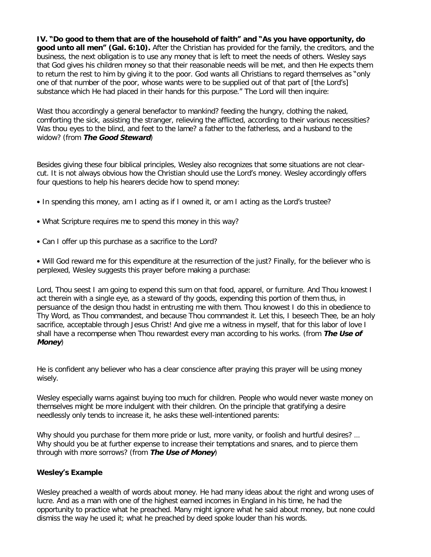**IV. "Do good to them that are of the household of faith" and "As you have opportunity, do good unto all men" (Gal. 6:10).** After the Christian has provided for the family, the creditors, and the business, the next obligation is to use any money that is left to meet the needs of others. Wesley says that God gives his children money so that their reasonable needs will be met, and then He expects them to return the rest to him by giving it to the poor. God wants all Christians to regard themselves as "only one of that number of the poor, whose wants were to be supplied out of that part of [the Lord's] substance which He had placed in their hands for this purpose." The Lord will then inquire:

Wast thou accordingly a general benefactor to mankind? feeding the hungry, clothing the naked, comforting the sick, assisting the stranger, relieving the afflicted, according to their various necessities? Was thou eyes to the blind, and feet to the lame? a father to the fatherless, and a husband to the widow? (from **The Good Steward**)

Besides giving these four biblical principles, Wesley also recognizes that some situations are not clearcut. It is not always obvious how the Christian should use the Lord's money. Wesley accordingly offers four questions to help his hearers decide how to spend money:

- In spending this money, am I acting as if I owned it, or am I acting as the Lord's trustee?
- What Scripture requires me to spend this money in this way?
- Can I offer up this purchase as a sacrifice to the Lord?

• Will God reward me for this expenditure at the resurrection of the just? Finally, for the believer who is perplexed, Wesley suggests this prayer before making a purchase:

Lord, Thou seest I am going to expend this sum on that food, apparel, or furniture. And Thou knowest I act therein with a single eye, as a steward of thy goods, expending this portion of them thus, in persuance of the design thou hadst in entrusting me with them. Thou knowest I do this in obedience to Thy Word, as Thou commandest, and because Thou commandest it. Let this, I beseech Thee, be an holy sacrifice, acceptable through Jesus Christ! And give me a witness in myself, that for this labor of love I shall have a recompense when Thou rewardest every man according to his works. (from **The Use of Money**)

He is confident any believer who has a clear conscience after praying this prayer will be using money wisely.

Wesley especially warns against buying too much for children. People who would never waste money on themselves might be more indulgent with their children. On the principle that gratifying a desire needlessly only tends to increase it, he asks these well-intentioned parents:

Why should you purchase for them more pride or lust, more vanity, or foolish and hurtful desires? ... Why should you be at further expense to increase their temptations and snares, and to pierce them through with more sorrows? (from **The Use of Money**)

### **Wesley's Example**

Wesley preached a wealth of words about money. He had many ideas about the right and wrong uses of lucre. And as a man with one of the highest earned incomes in England in his time, he had the opportunity to practice what he preached. Many might ignore what he said about money, but none could dismiss the way he used it; what he preached by deed spoke louder than his words.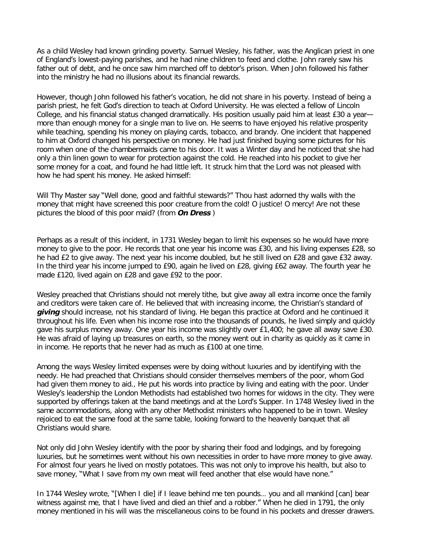As a child Wesley had known grinding poverty. Samuel Wesley, his father, was the Anglican priest in one of England's lowest-paying parishes, and he had nine children to feed and clothe. John rarely saw his father out of debt, and he once saw him marched off to debtor's prison. When John followed his father into the ministry he had no illusions about its financial rewards.

However, though John followed his father's vocation, he did not share in his poverty. Instead of being a parish priest, he felt God's direction to teach at Oxford University. He was elected a fellow of Lincoln College, and his financial status changed dramatically. His position usually paid him at least £30 a year more than enough money for a single man to live on. He seems to have enjoyed his relative prosperity while teaching, spending his money on playing cards, tobacco, and brandy. One incident that happened to him at Oxford changed his perspective on money. He had just finished buying some pictures for his room when one of the chambermaids came to his door. It was a Winter day and he noticed that she had only a thin linen gown to wear for protection against the cold. He reached into his pocket to give her some money for a coat, and found he had little left. It struck him that the Lord was not pleased with how he had spent his money. He asked himself:

Will Thy Master say "Well done, good and faithful stewards?" Thou hast adorned thy walls with the money that might have screened this poor creature from the cold! O justice! O mercy! Are not these pictures the blood of this poor maid? (from **On Dress** )

Perhaps as a result of this incident, in 1731 Wesley began to limit his expenses so he would have more money to give to the poor. He records that one year his income was £30, and his living expenses £28, so he had £2 to give away. The next year his income doubled, but he still lived on £28 and gave £32 away. In the third year his income jumped to £90, again he lived on £28, giving £62 away. The fourth year he made £120, lived again on £28 and gave £92 to the poor.

Wesley preached that Christians should not merely tithe, but give away all extra income once the family and creditors were taken care of. He believed that with increasing income, the Christian's standard of **giving** should increase, not his standard of living. He began this practice at Oxford and he continued it throughout his life. Even when his income rose into the thousands of pounds, he lived simply and quickly gave his surplus money away. One year his income was slightly over £1,400; he gave all away save £30. He was afraid of laying up treasures on earth, so the money went out in charity as quickly as it came in in income. He reports that he never had as much as £100 at one time.

Among the ways Wesley limited expenses were by doing without luxuries and by identifying with the needy. He had preached that Christians should consider themselves members of the poor, whom God had given them money to aid., He put his words into practice by living and eating with the poor. Under Wesley's leadership the London Methodists had established two homes for widows in the city. They were supported by offerings taken at the band meetings and at the Lord's Supper. In 1748 Wesley lived in the same accommodations, along with any other Methodist ministers who happened to be in town. Wesley rejoiced to eat the same food at the same table, looking forward to the heavenly banquet that all Christians would share.

Not only did John Wesley identify with the poor by sharing their food and lodgings, and by foregoing luxuries, but he sometimes went without his own necessities in order to have more money to give away. For almost four years he lived on mostly potatoes. This was not only to improve his health, but also to save money, "What I save from my own meat will feed another that else would have none."

In 1744 Wesley wrote, "[When I die] if I leave behind me ten pounds… you and all mankind [can] bear witness against me, that I have lived and died an thief and a robber." When he died in 1791, the only money mentioned in his will was the miscellaneous coins to be found in his pockets and dresser drawers.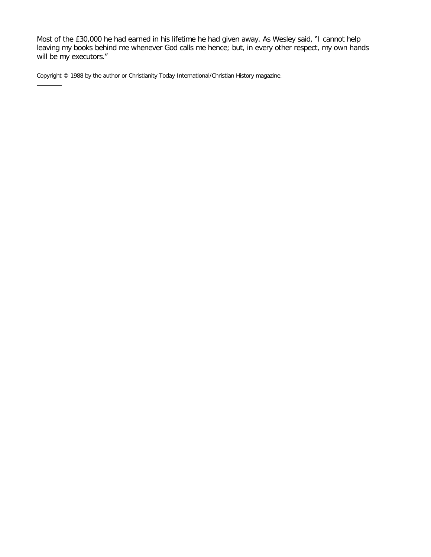Most of the £30,000 he had earned in his lifetime he had given away. As Wesley said, "I cannot help leaving my books behind me whenever God calls me hence; but, in every other respect, my own hands will be my executors."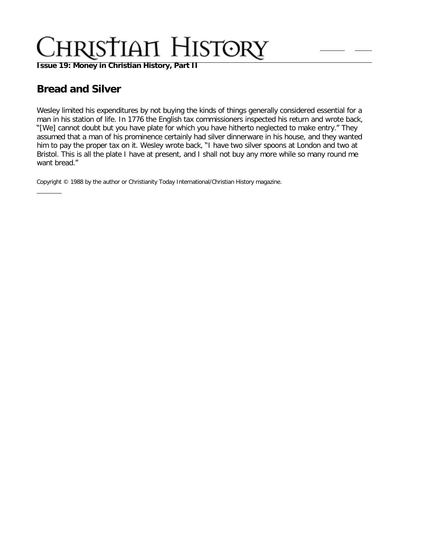# CHRISTIAN HISTORY

**[Issue 19: Money in Christian History, Part II](http://ctlstaging/ch/cdrom/collection.html?id=329)**

### **Bread and Silver**

Wesley limited his expenditures by not buying the kinds of things generally considered essential for a man in his station of life. In 1776 the English tax commissioners inspected his return and wrote back, "[We] cannot doubt but you have plate for which you have hitherto neglected to make entry." They assumed that a man of his prominence certainly had silver dinnerware in his house, and they wanted him to pay the proper tax on it. Wesley wrote back, "I have two silver spoons at London and two at Bristol. This is all the plate I have at present, and I shall not buy any more while so many round me want bread."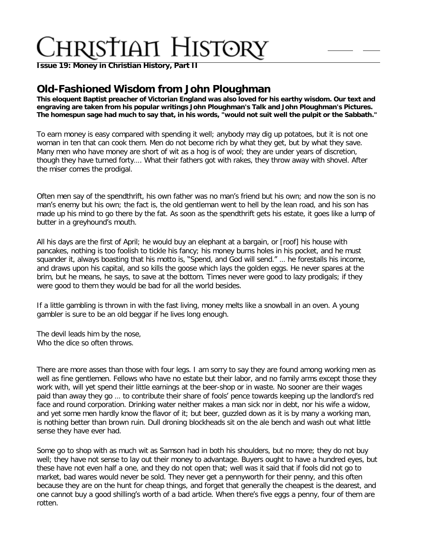# hristian Histor

**[Issue 19: Money in Christian History, Part II](http://ctlstaging/ch/cdrom/collection.html?id=329)**

### **Old-Fashioned Wisdom from John Ploughman**

**This eloquent Baptist preacher of Victorian England was also loved for his earthy wisdom. Our text and engraving are taken from his popular writings John Ploughman's Talk and John Ploughman's Pictures. The homespun sage had much to say that, in his words, "would not suit well the pulpit or the Sabbath."**

To earn money is easy compared with spending it well; anybody may dig up potatoes, but it is not one woman in ten that can cook them. Men do not become rich by what they get, but by what they save. Many men who have money are short of wit as a hog is of wool; they are under years of discretion, though they have turned forty…. What their fathers got with rakes, they throw away with shovel. After the miser comes the prodigal.

Often men say of the spendthrift, his own father was no man's friend but his own; and now the son is no man's enemy but his own; the fact is, the old gentleman went to hell by the lean road, and his son has made up his mind to go there by the fat. As soon as the spendthrift gets his estate, it goes like a lump of butter in a greyhound's mouth.

All his days are the first of April; he would buy an elephant at a bargain, or [roof] his house with pancakes, nothing is too foolish to tickle his fancy; his money burns holes in his pocket, and he must squander it, always boasting that his motto is, "Spend, and God will send." … he forestalls his income, and draws upon his capital, and so kills the goose which lays the golden eggs. He never spares at the brim, but he means, he says, to save at the bottom. Times never were good to lazy prodigals; if they were good to them they would be bad for all the world besides.

If a little gambling is thrown in with the fast living, money melts like a snowball in an oven. A young gambler is sure to be an old beggar if he lives long enough.

The devil leads him by the nose, Who the dice so often throws.

There are more asses than those with four legs. I am sorry to say they are found among working men as well as fine gentlemen. Fellows who have no estate but their labor, and no family arms except those they work with, will yet spend their little earnings at the beer-shop or in waste. No sooner are their wages paid than away they go … to contribute their share of fools' pence towards keeping up the landlord's red face and round corporation. Drinking water neither makes a man sick nor in debt, nor his wife a widow, and yet some men hardly know the flavor of it; but beer, guzzled down as it is by many a working man, is nothing better than brown ruin. Dull droning blockheads sit on the ale bench and wash out what little sense they have ever had.

Some go to shop with as much wit as Samson had in both his shoulders, but no more; they do not buy well; they have not sense to lay out their money to advantage. Buyers ought to have a hundred eyes, but these have not even half a one, and they do not open that; well was it said that if fools did not go to market, bad wares would never be sold. They never get a pennyworth for their penny, and this often because they are on the hunt for cheap things, and forget that generally the cheapest is the dearest, and one cannot buy a good shilling's worth of a bad article. When there's five eggs a penny, four of them are rotten.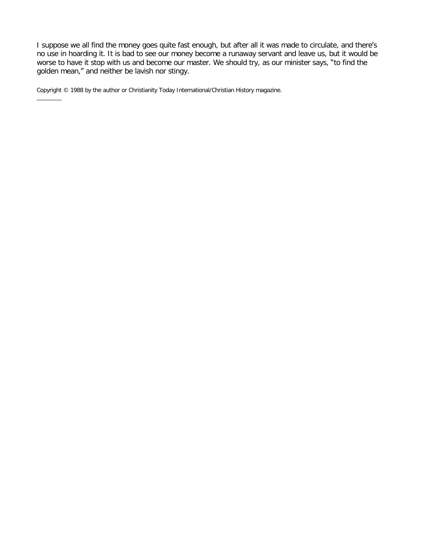I suppose we all find the money goes quite fast enough, but after all it was made to circulate, and there's no use in hoarding it. It is bad to see our money become a runaway servant and leave us, but it would be worse to have it stop with us and become our master. We should try, as our minister says, "to find the golden mean," and neither be lavish nor stingy.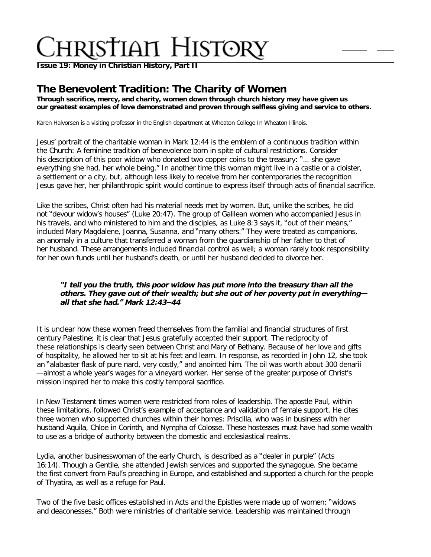# Christian History

**[Issue 19: Money in Christian History, Part II](http://ctlstaging/ch/cdrom/collection.html?id=329)**

### **The Benevolent Tradition: The Charity of Women**

**Through sacrifice, mercy, and charity, women down through church history may have given us our greatest examples of love demonstrated and proven through selfless giving and service to others.**

Karen Halvorsen is a visiting professor in the English department at Wheaton College In Wheaton Illinois.

Jesus' portrait of the charitable woman in Mark 12:44 is the emblem of a continuous tradition within the Church: A feminine tradition of benevolence born in spite of cultural restrictions. Consider his description of this poor widow who donated two copper coins to the treasury: "… she gave everything she had, her whole being." In another time this woman might live in a castle or a cloister, a settlement or a city, but, although less likely to receive from her contemporaries the recognition Jesus gave her, her philanthropic spirit would continue to express itself through acts of financial sacrifice.

Like the scribes, Christ often had his material needs met by women. But, unlike the scribes, he did not "devour widow's houses" (Luke 20:47). The group of Galilean women who accompanied Jesus in his travels, and who ministered to him and the disciples, as Luke 8:3 says it, "out of their means," included Mary Magdalene, Joanna, Susanna, and "many others." They were treated as companions, an anomaly in a culture that transferred a woman from the guardianship of her father to that of her husband. These arrangements included financial control as well; a woman rarely took responsibility for her own funds until her husband's death, or until her husband decided to divorce her.

### **"I tell you the truth, this poor widow has put more into the treasury than all the others. They gave out of their wealth; but she out of her poverty put in everything all that she had." Mark 12:43–44**

It is unclear how these women freed themselves from the familial and financial structures of first century Palestine; it is clear that Jesus gratefully accepted their support. The reciprocity of these relationships is clearly seen between Christ and Mary of Bethany. Because of her love and gifts of hospitality, he allowed her to sit at his feet and learn. In response, as recorded in John 12, she took an "alabaster flask of pure nard, very costly," and anointed him. The oil was worth about 300 denarii —almost a whole year's wages for a vineyard worker. Her sense of the greater purpose of Christ's mission inspired her to make this costly temporal sacrifice.

In New Testament times women were restricted from roles of leadership. The apostle Paul, within these limitations, followed Christ's example of acceptance and validation of female support. He cites three women who supported churches within their homes: Priscilla, who was in business with her husband Aquila, Chloe in Corinth, and Nympha of Colosse. These hostesses must have had some wealth to use as a bridge of authority between the domestic and ecclesiastical realms.

Lydia, another businesswoman of the early Church, is described as a "dealer in purple" (Acts 16:14). Though a Gentile, she attended Jewish services and supported the synagogue. She became the first convert from Paul's preaching in Europe, and established and supported a church for the people of Thyatira, as well as a refuge for Paul.

Two of the five basic offices established in Acts and the Epistles were made up of women: "widows and deaconesses." Both were ministries of charitable service. Leadership was maintained through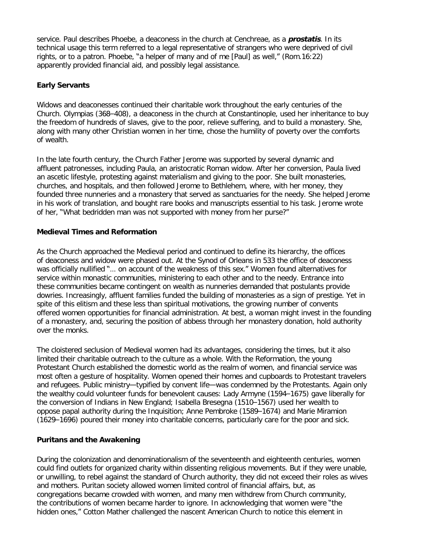service. Paul describes Phoebe, a deaconess in the church at Cenchreae, as a **prostatis**. In its technical usage this term referred to a legal representative of strangers who were deprived of civil rights, or to a patron. Phoebe, "a helper of many and of me [Paul] as well," (Rom.16:22) apparently provided financial aid, and possibly legal assistance.

### **Early Servants**

Widows and deaconesses continued their charitable work throughout the early centuries of the Church. Olympias (368–408), a deaconess in the church at Constantinople, used her inheritance to buy the freedom of hundreds of slaves, give to the poor, relieve suffering, and to build a monastery. She, along with many other Christian women in her time, chose the humility of poverty over the comforts of wealth.

In the late fourth century, the Church Father Jerome was supported by several dynamic and affluent patronesses, including Paula, an aristocratic Roman widow. After her conversion, Paula lived an ascetic lifestyle, protesting against materialism and giving to the poor. She built monasteries, churches, and hospitals, and then followed Jerome to Bethlehem, where, with her money, they founded three nunneries and a monastery that served as sanctuaries for the needy. She helped Jerome in his work of translation, and bought rare books and manuscripts essential to his task. Jerome wrote of her, "What bedridden man was not supported with money from her purse?"

### **Medieval Times and Reformation**

As the Church approached the Medieval period and continued to define its hierarchy, the offices of deaconess and widow were phased out. At the Synod of Orleans in 533 the office of deaconess was officially nullified "… on account of the weakness of this sex." Women found alternatives for service within monastic communities, ministering to each other and to the needy. Entrance into these communities became contingent on wealth as nunneries demanded that postulants provide dowries. Increasingly, affluent families funded the building of monasteries as a sign of prestige. Yet in spite of this elitism and these less than spiritual motivations, the growing number of convents offered women opportunities for financial administration. At best, a woman might invest in the founding of a monastery, and, securing the position of abbess through her monastery donation, hold authority over the monks.

The cloistered seclusion of Medieval women had its advantages, considering the times, but it also limited their charitable outreach to the culture as a whole. With the Reformation, the young Protestant Church established the domestic world as the realm of women, and financial service was most often a gesture of hospitality. Women opened their homes and cupboards to Protestant travelers and refugees. Public ministry—typified by convent life—was condemned by the Protestants. Again only the wealthy could volunteer funds for benevolent causes: Lady Armyne (1594–1675) gave liberally for the conversion of Indians in New England; Isabella Bresegna (1510–1567) used her wealth to oppose papal authority during the Inquisition; Anne Pembroke (1589–1674) and Marie Miramion (1629–1696) poured their money into charitable concerns, particularly care for the poor and sick.

### **Puritans and the Awakening**

During the colonization and denominationalism of the seventeenth and eighteenth centuries, women could find outlets for organized charity within dissenting religious movements. But if they were unable, or unwilling, to rebel against the standard of Church authority, they did not exceed their roles as wives and mothers. Puritan society allowed women limited control of financial affairs, but, as congregations became crowded with women, and many men withdrew from Church community, the contributions of women became harder to ignore. In acknowledging that women were "the hidden ones," Cotton Mather challenged the nascent American Church to notice this element in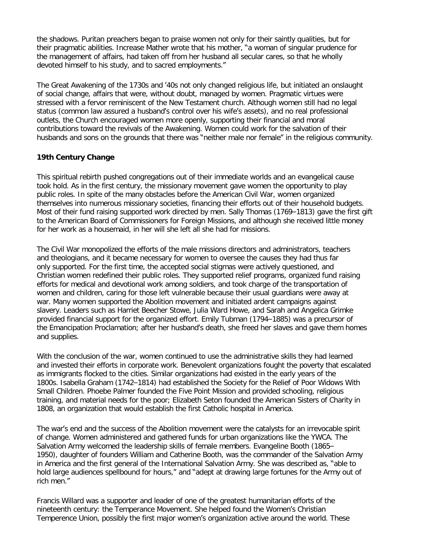the shadows. Puritan preachers began to praise women not only for their saintly qualities, but for their pragmatic abilities. Increase Mather wrote that his mother, "a woman of singular prudence for the management of affairs, had taken off from her husband all secular cares, so that he wholly devoted himself to his study, and to sacred employments."

The Great Awakening of the 1730s and '40s not only changed religious life, but initiated an onslaught of social change, affairs that were, without doubt, managed by women. Pragmatic virtues were stressed with a fervor reminiscent of the New Testament church. Although women still had no legal status (common law assured a husband's control over his wife's assets), and no real professional outlets, the Church encouraged women more openly, supporting their financial and moral contributions toward the revivals of the Awakening. Women could work for the salvation of their husbands and sons on the grounds that there was "neither male nor female" in the religious community.

### **19th Century Change**

This spiritual rebirth pushed congregations out of their immediate worlds and an evangelical cause took hold. As in the first century, the missionary movement gave women the opportunity to play public roles. In spite of the many obstacles before the American Civil War, women organized themselves into numerous missionary societies, financing their efforts out of their household budgets. Most of their fund raising supported work directed by men. Sally Thomas (1769–1813) gave the first gift to the American Board of Commissioners for Foreign Missions, and although she received little money for her work as a housemaid, in her will she left all she had for missions.

The Civil War monopolized the efforts of the male missions directors and administrators, teachers and theologians, and it became necessary for women to oversee the causes they had thus far only supported. For the first time, the accepted social stigmas were actively questioned, and Christian women redefined their public roles. They supported relief programs, organized fund raising efforts for medical and devotional work among soldiers, and took charge of the transportation of women and children, caring for those left vulnerable because their usual guardians were away at war. Many women supported the Abolition movement and initiated ardent campaigns against slavery. Leaders such as Harriet Beecher Stowe, Julia Ward Howe, and Sarah and Angelica Grimke provided financial support for the organized effort. Emily Tubman (1794–1885) was a precursor of the Emancipation Proclamation; after her husband's death, she freed her slaves and gave them homes and supplies.

With the conclusion of the war, women continued to use the administrative skills they had learned and invested their efforts in corporate work. Benevolent organizations fought the poverty that escalated as immigrants flocked to the cities. Similar organizations had existed in the early years of the 1800s. Isabella Graham (1742–1814) had established the Society for the Relief of Poor Widows With Small Children. Phoebe Palmer founded the Five Point Mission and provided schooling, religious training, and material needs for the poor; Elizabeth Seton founded the American Sisters of Charity in 1808, an organization that would establish the first Catholic hospital in America.

The war's end and the success of the Abolition movement were the catalysts for an irrevocable spirit of change. Women administered and gathered funds for urban organizations like the YWCA. The Salvation Army welcomed the leadership skills of female members. Evangeline Booth (1865– 1950), daughter of founders William and Catherine Booth, was the commander of the Salvation Army in America and the first general of the International Salvation Army. She was described as, "able to hold large audiences spellbound for hours," and "adept at drawing large fortunes for the Army out of rich men."

Francis Willard was a supporter and leader of one of the greatest humanitarian efforts of the nineteenth century: the Temperance Movement. She helped found the Women's Christian Temperence Union, possibly the first major women's organization active around the world. These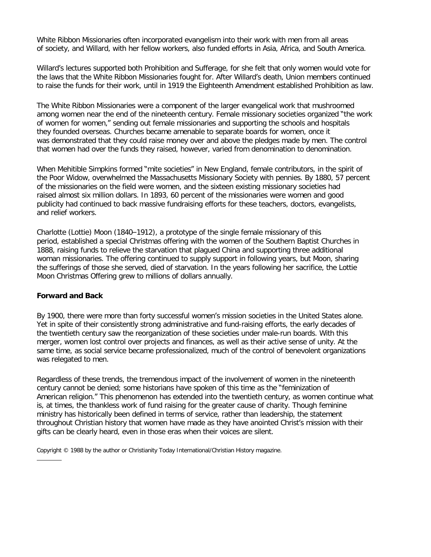White Ribbon Missionaries often incorporated evangelism into their work with men from all areas of society, and Willard, with her fellow workers, also funded efforts in Asia, Africa, and South America.

Willard's lectures supported both Prohibition and Sufferage, for she felt that only women would vote for the laws that the White Ribbon Missionaries fought for. After Willard's death, Union members continued to raise the funds for their work, until in 1919 the Eighteenth Amendment established Prohibition as law.

The White Ribbon Missionaries were a component of the larger evangelical work that mushroomed among women near the end of the nineteenth century. Female missionary societies organized "the work of women for women," sending out female missionaries and supporting the schools and hospitals they founded overseas. Churches became amenable to separate boards for women, once it was demonstrated that they could raise money over and above the pledges made by men. The control that women had over the funds they raised, however, varied from denomination to denomination.

When Mehitible Simpkins formed "mite societies" in New England, female contributors, in the spirit of the Poor Widow, overwhelmed the Massachusetts Missionary Society with pennies. By 1880, 57 percent of the missionaries on the field were women, and the sixteen existing missionary societies had raised almost six million dollars. In 1893, 60 percent of the missionaries were women and good publicity had continued to back massive fundraising efforts for these teachers, doctors, evangelists, and relief workers.

Charlotte (Lottie) Moon (1840–1912), a prototype of the single female missionary of this period, established a special Christmas offering with the women of the Southern Baptist Churches in 1888, raising funds to relieve the starvation that plagued China and supporting three additional woman missionaries. The offering continued to supply support in following years, but Moon, sharing the sufferings of those she served, died of starvation. In the years following her sacrifice, the Lottie Moon Christmas Offering grew to millions of dollars annually.

### **Forward and Back**

By 1900, there were more than forty successful women's mission societies in the United States alone. Yet in spite of their consistently strong administrative and fund-raising efforts, the early decades of the twentieth century saw the reorganization of these societies under male-run boards. With this merger, women lost control over projects and finances, as well as their active sense of unity. At the same time, as social service became professionalized, much of the control of benevolent organizations was relegated to men.

Regardless of these trends, the tremendous impact of the involvement of women in the nineteenth century cannot be denied; some historians have spoken of this time as the "feminization of American religion." This phenomenon has extended into the twentieth century, as women continue what is, at times, the thankless work of fund raising for the greater cause of charity. Though feminine ministry has historically been defined in terms of service, rather than leadership, the statement throughout Christian history that women have made as they have anointed Christ's mission with their gifts can be clearly heard, even in those eras when their voices are silent.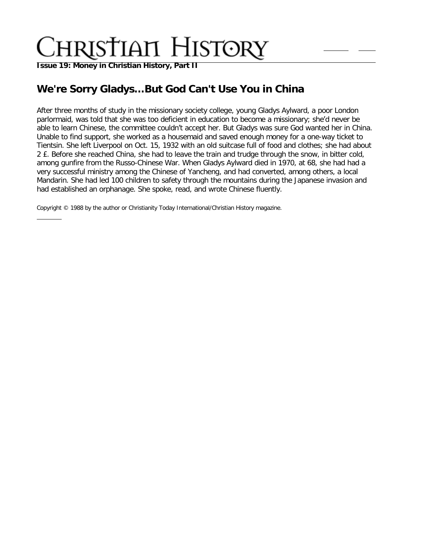# Christian History

**[Issue 19: Money in Christian History, Part II](http://ctlstaging/ch/cdrom/collection.html?id=329)**

### **We're Sorry Gladys…But God Can't Use You in China**

After three months of study in the missionary society college, young Gladys Aylward, a poor London parlormaid, was told that she was too deficient in education to become a missionary; she'd never be able to learn Chinese, the committee couldn't accept her. But Gladys was sure God wanted her in China. Unable to find support, she worked as a housemaid and saved enough money for a one-way ticket to Tientsin. She left Liverpool on Oct. 15, 1932 with an old suitcase full of food and clothes; she had about 2 £. Before she reached China, she had to leave the train and trudge through the snow, in bitter cold, among gunfire from the Russo-Chinese War. When Gladys Aylward died in 1970, at 68, she had had a very successful ministry among the Chinese of Yancheng, and had converted, among others, a local Mandarin. She had led 100 children to safety through the mountains during the Japanese invasion and had established an orphanage. She spoke, read, and wrote Chinese fluently.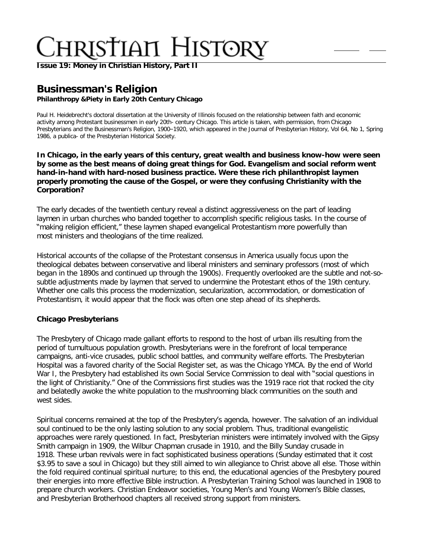# hristian History

**[Issue 19: Money in Christian History, Part II](http://ctlstaging/ch/cdrom/collection.html?id=329)**

### **Businessman's Religion Philanthropy &Piety in Early 20th Century Chicago**

Paul H. Heidebrecht's doctoral dissertation at the University of Illinois focused on the relationship between faith and economic activity among Protestant businessmen in early 20th- century Chicago. This article is taken, with permission, from Chicago Presbyterians and the Businessman's Religion, 1900–1920, which appeared in the Journal of Presbyterian History, Vol 64, No 1, Spring 1986, a publica- of the Presbyterian Historical Society.

**In Chicago, in the early years of this century, great wealth and business know-how were seen by some as the best means of doing great things for God. Evangelism and social reform went hand-in-hand with hard-nosed business practice. Were these rich philanthropist laymen properly promoting the cause of the Gospel, or were they confusing Christianity with the Corporation?** 

The early decades of the twentieth century reveal a distinct aggressiveness on the part of leading laymen in urban churches who banded together to accomplish specific religious tasks. In the course of "making religion efficient," these laymen shaped evangelical Protestantism more powerfully than most ministers and theologians of the time realized.

Historical accounts of the collapse of the Protestant consensus in America usually focus upon the theological debates between conservative and liberal ministers and seminary professors (most of which began in the 1890s and continued up through the 1900s). Frequently overlooked are the subtle and not-sosubtle adjustments made by laymen that served to undermine the Protestant ethos of the 19th century. Whether one calls this process the modernization, secularization, accommodation, or domestication of Protestantism, it would appear that the flock was often one step ahead of its shepherds.

### **Chicago Presbyterians**

The Presbytery of Chicago made gallant efforts to respond to the host of urban ills resulting from the period of tumultuous population growth. Presbyterians were in the forefront of local temperance campaigns, anti-vice crusades, public school battles, and community welfare efforts. The Presbyterian Hospital was a favored charity of the Social Register set, as was the Chicago YMCA. By the end of World War I, the Presbytery had established its own Social Service Commission to deal with "social questions in the light of Christianity." One of the Commissions first studies was the 1919 race riot that rocked the city and belatedly awoke the white population to the mushrooming black communities on the south and west sides.

Spiritual concerns remained at the top of the Presbytery's agenda, however. The salvation of an individual soul continued to be the only lasting solution to any social problem. Thus, traditional evangelistic approaches were rarely questioned. In fact, Presbyterian ministers were intimately involved with the Gipsy Smith campaign in 1909, the Wilbur Chapman crusade in 1910, and the Billy Sunday crusade in 1918. These urban revivals were in fact sophisticated business operations (Sunday estimated that it cost \$3.95 to save a soul in Chicago) but they still aimed to win allegiance to Christ above all else. Those within the fold required continual spiritual nurture; to this end, the educational agencies of the Presbytery poured their energies into more effective Bible instruction. A Presbyterian Training School was launched in 1908 to prepare church workers. Christian Endeavor societies, Young Men's and Young Women's Bible classes, and Presbyterian Brotherhood chapters all received strong support from ministers.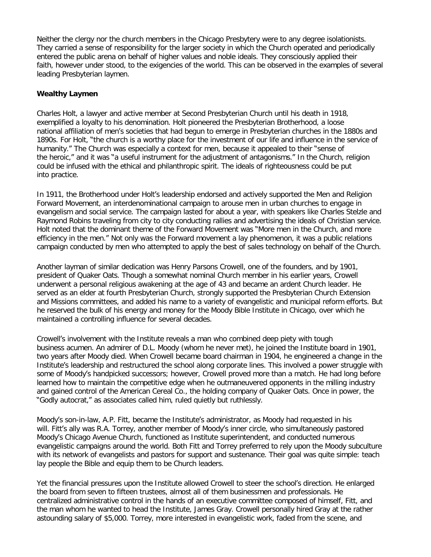Neither the clergy nor the church members in the Chicago Presbytery were to any degree isolationists. They carried a sense of responsibility for the larger society in which the Church operated and periodically entered the public arena on behalf of higher values and noble ideals. They consciously applied their faith, however under stood, to the exigencies of the world. This can be observed in the examples of several leading Presbyterian laymen.

### **Wealthy Laymen**

Charles Holt, a lawyer and active member at Second Presbyterian Church until his death in 1918, exemplified a loyalty to his denomination. Holt pioneered the Presbyterian Brotherhood, a loose national affiliation of men's societies that had begun to emerge in Presbyterian churches in the 1880s and 1890s. For Holt, "the church is a worthy place for the investment of our life and influence in the service of humanity." The Church was especially a context for men, because it appealed to their "sense of the heroic," and it was "a useful instrument for the adjustment of antagonisms." In the Church, religion could be infused with the ethical and philanthropic spirit. The ideals of righteousness could be put into practice.

In 1911, the Brotherhood under Holt's leadership endorsed and actively supported the Men and Religion Forward Movement, an interdenominational campaign to arouse men in urban churches to engage in evangelism and social service. The campaign lasted for about a year, with speakers like Charles Stelzle and Raymond Robins traveling from city to city conducting rallies and advertising the ideals of Christian service. Holt noted that the dominant theme of the Forward Movement was "More men in the Church, and more efficiency in the men." Not only was the Forward movement a lay phenomenon, it was a public relations campaign conducted by men who attempted to apply the best of sales technology on behalf of the Church.

Another layman of similar dedication was Henry Parsons Crowell, one of the founders, and by 1901, president of Quaker Oats. Though a somewhat nominal Church member in his earlier years, Crowell underwent a personal religious awakening at the age of 43 and became an ardent Church leader. He served as an elder at fourth Presbyterian Church, strongly supported the Presbyterian Church Extension and Missions committees, and added his name to a variety of evangelistic and municipal reform efforts. But he reserved the bulk of his energy and money for the Moody Bible Institute in Chicago, over which he maintained a controlling influence for several decades.

Crowell's involvement with the Institute reveals a man who combined deep piety with tough business acumen. An admirer of D.L. Moody (whom he never met), he joined the Institute board in 1901, two years after Moody died. When Crowell became board chairman in 1904, he engineered a change in the Institute's leadership and restructured the school along corporate lines. This involved a power struggle with some of Moody's handpicked successors; however, Crowell proved more than a match. He had long before learned how to maintain the competitive edge when he outmaneuvered opponents in the milling industry and gained control of the American Cereal Co., the holding company of Quaker Oats. Once in power, the "Godly autocrat," as associates called him, ruled quietly but ruthlessly.

Moody's son-in-law, A.P. Fitt, became the Institute's administrator, as Moody had requested in his will. Fitt's ally was R.A. Torrey, another member of Moody's inner circle, who simultaneously pastored Moody's Chicago Avenue Church, functioned as Institute superintendent, and conducted numerous evangelistic campaigns around the world. Both Fitt and Torrey preferred to rely upon the Moody subculture with its network of evangelists and pastors for support and sustenance. Their goal was quite simple: teach lay people the Bible and equip them to be Church leaders.

Yet the financial pressures upon the Institute allowed Crowell to steer the school's direction. He enlarged the board from seven to fifteen trustees, almost all of them businessmen and professionals. He centralized administrative control in the hands of an executive committee composed of himself, Fitt, and the man whom he wanted to head the Institute, James Gray. Crowell personally hired Gray at the rather astounding salary of \$5,000. Torrey, more interested in evangelistic work, faded from the scene, and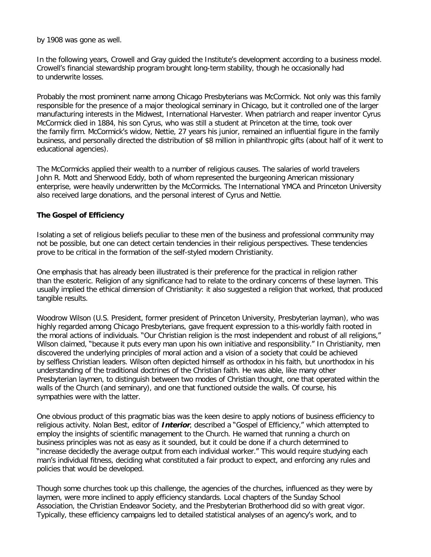by 1908 was gone as well.

In the following years, Crowell and Gray guided the Institute's development according to a business model. Crowell's financial stewardship program brought long-term stability, though he occasionally had to underwrite losses.

Probably the most prominent name among Chicago Presbyterians was McCormick. Not only was this family responsible for the presence of a major theological seminary in Chicago, but it controlled one of the larger manufacturing interests in the Midwest, International Harvester. When patriarch and reaper inventor Cyrus McCormick died in 1884, his son Cyrus, who was still a student at Princeton at the time, took over the family firm. McCormick's widow, Nettie, 27 years his junior, remained an influential figure in the family business, and personally directed the distribution of \$8 million in philanthropic gifts (about half of it went to educational agencies).

The McCormicks applied their wealth to a number of religious causes. The salaries of world travelers John R. Mott and Sherwood Eddy, both of whom represented the burgeoning American missionary enterprise, were heavily underwritten by the McCormicks. The International YMCA and Princeton University also received large donations, and the personal interest of Cyrus and Nettie.

### **The Gospel of Efficiency**

Isolating a set of religious beliefs peculiar to these men of the business and professional community may not be possible, but one can detect certain tendencies in their religious perspectives. These tendencies prove to be critical in the formation of the self-styled modern Christianity.

One emphasis that has already been illustrated is their preference for the practical in religion rather than the esoteric. Religion of any significance had to relate to the ordinary concerns of these laymen. This usually implied the ethical dimension of Christianity: it also suggested a religion that worked, that produced tangible results.

Woodrow Wilson (U.S. President, former president of Princeton University, Presbyterian layman), who was highly regarded among Chicago Presbyterians, gave frequent expression to a this-worldly faith rooted in the moral actions of individuals. "Our Christian religion is the most independent and robust of all religions," Wilson claimed, "because it puts every man upon his own initiative and responsibility." In Christianity, men discovered the underlying principles of moral action and a vision of a society that could be achieved by selfless Christian leaders. Wilson often depicted himself as orthodox in his faith, but unorthodox in his understanding of the traditional doctrines of the Christian faith. He was able, like many other Presbyterian laymen, to distinguish between two modes of Christian thought, one that operated within the walls of the Church (and seminary), and one that functioned outside the walls. Of course, his sympathies were with the latter.

One obvious product of this pragmatic bias was the keen desire to apply notions of business efficiency to religious activity. Nolan Best, editor of **Interior**, described a "Gospel of Efficiency," which attempted to employ the insights of scientific management to the Church. He warned that running a church on business principles was not as easy as it sounded, but it could be done if a church determined to "increase decidedly the average output from each individual worker." This would require studying each man's individual fitness, deciding what constituted a fair product to expect, and enforcing any rules and policies that would be developed.

Though some churches took up this challenge, the agencies of the churches, influenced as they were by laymen, were more inclined to apply efficiency standards. Local chapters of the Sunday School Association, the Christian Endeavor Society, and the Presbyterian Brotherhood did so with great vigor. Typically, these efficiency campaigns led to detailed statistical analyses of an agency's work, and to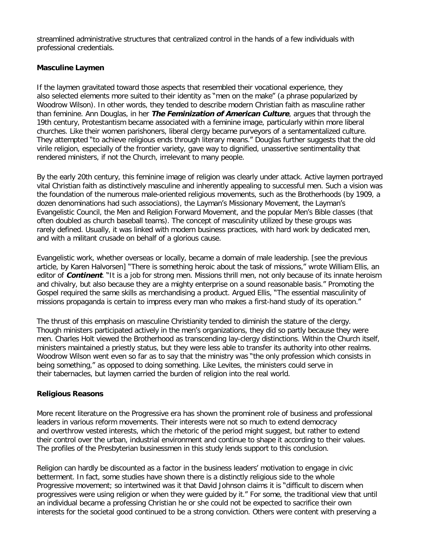streamlined administrative structures that centralized control in the hands of a few individuals with professional credentials.

### **Masculine Laymen**

If the laymen gravitated toward those aspects that resembled their vocational experience, they also selected elements more suited to their identity as "men on the make" (a phrase popularized by Woodrow Wilson). In other words, they tended to describe modern Christian faith as masculine rather than feminine. Ann Douglas, in her **The Feminization of American Culture**, argues that through the 19th century, Protestantism became associated with a feminine image, particularly within more liberal churches. Like their women parishoners, liberal clergy became purveyors of a sentamentalized culture. They attempted "to achieve religious ends through literary means." Douglas further suggests that the old virile religion, especially of the frontier variety, gave way to dignified, unassertive sentimentality that rendered ministers, if not the Church, irrelevant to many people.

By the early 20th century, this feminine image of religion was clearly under attack. Active laymen portrayed vital Christian faith as distinctively masculine and inherently appealing to successful men. Such a vision was the foundation of the numerous male-oriented religious movements, such as the Brotherhoods (by 1909, a dozen denominations had such associations), the Layman's Missionary Movement, the Layman's Evangelistic Council, the Men and Religion Forward Movement, and the popular Men's Bible classes (that often doubled as church baseball teams). The concept of masculinity utilized by these groups was rarely defined. Usually, it was linked with modern business practices, with hard work by dedicated men, and with a militant crusade on behalf of a glorious cause.

Evangelistic work, whether overseas or locally, became a domain of male leadership. [see the previous article, by Karen Halvorsen] "There is something heroic about the task of missions," wrote William Ellis, an editor of **Continent**. "It is a job for strong men. Missions thrill men, not only because of its innate heroism and chivalry, but also because they are a mighty enterprise on a sound reasonable basis." Promoting the Gospel required the same skills as merchandising a product. Argued Ellis, "The essential masculinity of missions propaganda is certain to impress every man who makes a first-hand study of its operation."

The thrust of this emphasis on masculine Christianity tended to diminish the stature of the clergy. Though ministers participated actively in the men's organizations, they did so partly because they were men. Charles Holt viewed the Brotherhood as transcending lay-clergy distinctions. Within the Church itself, ministers maintained a priestly status, but they were less able to transfer its authority into other realms. Woodrow Wilson went even so far as to say that the ministry was "the only profession which consists in being something," as opposed to doing something. Like Levites, the ministers could serve in their tabernacles, but laymen carried the burden of religion into the real world.

### **Religious Reasons**

More recent literature on the Progressive era has shown the prominent role of business and professional leaders in various reform movements. Their interests were not so much to extend democracy and overthrow vested interests, which the rhetoric of the period might suggest, but rather to extend their control over the urban, industrial environment and continue to shape it according to their values. The profiles of the Presbyterian businessmen in this study lends support to this conclusion.

Religion can hardly be discounted as a factor in the business leaders' motivation to engage in civic betterment. In fact, some studies have shown there is a distinctly religious side to the whole Progressive movement; so intertwined was it that David Johnson claims it is "difficult to discern when progressives were using religion or when they were guided by it." For some, the traditional view that until an individual became a professing Christian he or she could not be expected to sacrifice their own interests for the societal good continued to be a strong conviction. Others were content with preserving a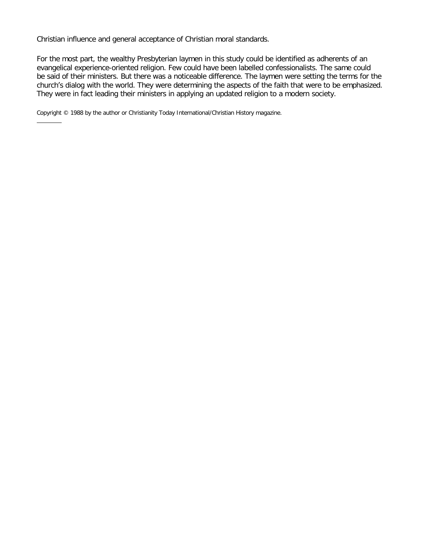Christian influence and general acceptance of Christian moral standards.

For the most part, the wealthy Presbyterian laymen in this study could be identified as adherents of an evangelical experience-oriented religion. Few could have been labelled confessionalists. The same could be said of their ministers. But there was a noticeable difference. The laymen were setting the terms for the church's dialog with the world. They were determining the aspects of the faith that were to be emphasized. They were in fact leading their ministers in applying an updated religion to a modern society.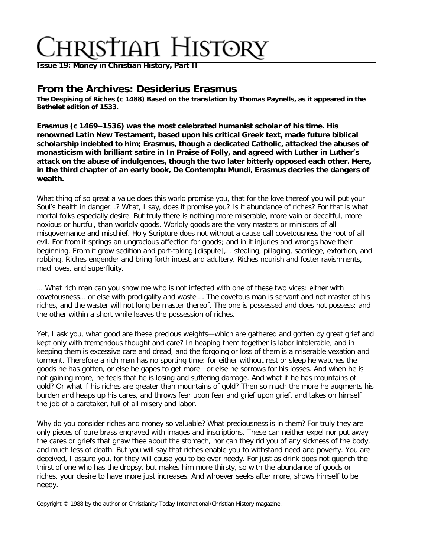# hristian Histor

**[Issue 19: Money in Christian History, Part II](http://ctlstaging/ch/cdrom/collection.html?id=329)**

### **From the Archives: Desiderius Erasmus**

**The Despising of Riches (c 1488) Based on the translation by Thomas Paynells, as it appeared in the Bethelet edition of 1533.**

**Erasmus (c 1469–1536) was the most celebrated humanist scholar of his time. His renowned Latin New Testament, based upon his critical Greek text, made future biblical scholarship indebted to him; Erasmus, though a dedicated Catholic, attacked the abuses of monasticism with brilliant satire in In Praise of Folly, and agreed with Luther in Luther's attack on the abuse of indulgences, though the two later bitterly opposed each other. Here, in the third chapter of an early book, De Contemptu Mundi, Erasmus decries the dangers of wealth.** 

What thing of so great a value does this world promise you, that for the love thereof you will put your Soul's health in danger…? What, I say, does it promise you? Is it abundance of riches? For that is what mortal folks especially desire. But truly there is nothing more miserable, more vain or deceitful, more noxious or hurtful, than worldly goods. Worldly goods are the very masters or ministers of all misgovernance and mischief. Holy Scripture does not without a cause call covetousness the root of all evil. For from it springs an ungracious affection for goods; and in it injuries and wrongs have their beginning. From it grow sedition and part-taking [dispute],… stealing, pillaging, sacrilege, extortion, and robbing. Riches engender and bring forth incest and adultery. Riches nourish and foster ravishments, mad loves, and superfluity.

… What rich man can you show me who is not infected with one of these two vices: either with covetousness… or else with prodigality and waste…. The covetous man is servant and not master of his riches, and the waster will not long be master thereof. The one is possessed and does not possess: and the other within a short while leaves the possession of riches.

Yet, I ask you, what good are these precious weights—which are gathered and gotten by great grief and kept only with tremendous thought and care? In heaping them together is labor intolerable, and in keeping them is excessive care and dread, and the forgoing or loss of them is a miserable vexation and torment. Therefore a rich man has no sporting time: for either without rest or sleep he watches the goods he has gotten, or else he gapes to get more—or else he sorrows for his losses. And when he is not gaining more, he feels that he is losing and suffering damage. And what if he has mountains of gold? Or what if his riches are greater than mountains of gold? Then so much the more he augments his burden and heaps up his cares, and throws fear upon fear and grief upon grief, and takes on himself the job of a caretaker, full of all misery and labor.

Why do you consider riches and money so valuable? What preciousness is in them? For truly they are only pieces of pure brass engraved with images and inscriptions. These can neither expel nor put away the cares or griefs that gnaw thee about the stomach, nor can they rid you of any sickness of the body, and much less of death. But you will say that riches enable you to withstand need and poverty. You are deceived, I assure you, for they will cause you to be ever needy. For just as drink does not quench the thirst of one who has the dropsy, but makes him more thirsty, so with the abundance of goods or riches, your desire to have more just increases. And whoever seeks after more, shows himself to be needy.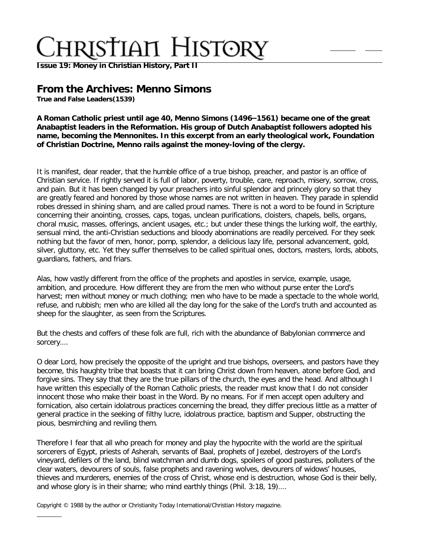# hristian Histor

**[Issue 19: Money in Christian History, Part II](http://ctlstaging/ch/cdrom/collection.html?id=329)**

### **From the Archives: Menno Simons**

**True and False Leaders(1539)**

**A Roman Catholic priest until age 40, Menno Simons (1496–1561) became one of the great Anabaptist leaders in the Reformation. His group of Dutch Anabaptist followers adopted his name, becoming the Mennonites. In this excerpt from an early theological work, Foundation of Christian Doctrine, Menno rails against the money-loving of the clergy.** 

It is manifest, dear reader, that the humble office of a true bishop, preacher, and pastor is an office of Christian service. If rightly served it is full of labor, poverty, trouble, care, reproach, misery, sorrow, cross, and pain. But it has been changed by your preachers into sinful splendor and princely glory so that they are greatly feared and honored by those whose names are not written in heaven. They parade in splendid robes dressed in shining sham, and are called proud names. There is not a word to be found in Scripture concerning their anointing, crosses, caps, togas, unclean purifications, cloisters, chapels, bells, organs, choral music, masses, offerings, ancient usages, etc.; but under these things the lurking wolf, the earthly, sensual mind, the anti-Christian seductions and bloody abominations are readily perceived. For they seek nothing but the favor of men, honor, pomp, splendor, a delicious lazy life, personal advancement, gold, silver, gluttony, etc. Yet they suffer themselves to be called spiritual ones, doctors, masters, lords, abbots, guardians, fathers, and friars.

Alas, how vastly different from the office of the prophets and apostles in service, example, usage, ambition, and procedure. How different they are from the men who without purse enter the Lord's harvest; men without money or much clothing; men who have to be made a spectacle to the whole world, refuse, and rubbish; men who are killed all the day long for the sake of the Lord's truth and accounted as sheep for the slaughter, as seen from the Scriptures.

But the chests and coffers of these folk are full, rich with the abundance of Babylonian commerce and sorcery….

O dear Lord, how precisely the opposite of the upright and true bishops, overseers, and pastors have they become, this haughty tribe that boasts that it can bring Christ down from heaven, atone before God, and forgive sins. They say that they are the true pillars of the church, the eyes and the head. And although I have written this especially of the Roman Catholic priests, the reader must know that I do not consider innocent those who make their boast in the Word. By no means. For if men accept open adultery and fornication, also certain idolatrous practices concerning the bread, they differ precious little as a matter of general practice in the seeking of filthy lucre, idolatrous practice, baptism and Supper, obstructing the pious, besmirching and reviling them.

Therefore I fear that all who preach for money and play the hypocrite with the world are the spiritual sorcerers of Egypt, priests of Asherah, servants of Baal, prophets of Jezebel, destroyers of the Lord's vineyard, defilers of the land, blind watchman and dumb dogs, spoilers of good pastures, polluters of the clear waters, devourers of souls, false prophets and ravening wolves, devourers of widows' houses, thieves and murderers, enemies of the cross of Christ, whose end is destruction, whose God is their belly, and whose glory is in their shame; who mind earthly things (Phil. 3:18, 19)….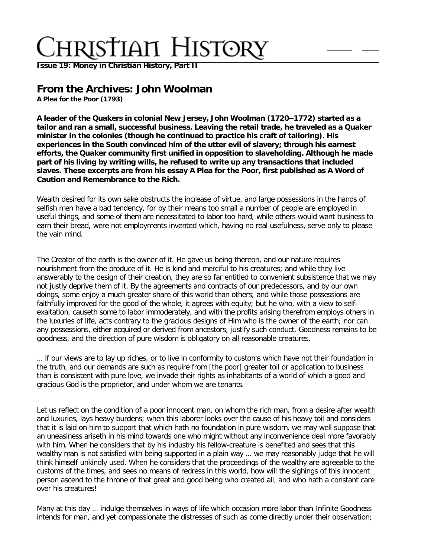# Christian Histor

**[Issue 19: Money in Christian History, Part II](http://ctlstaging/ch/cdrom/collection.html?id=329)**

### **From the Archives: John Woolman**

**A Plea for the Poor (1793)**

**A leader of the Quakers in colonial New Jersey, John Woolman (1720–1772) started as a tailor and ran a small, successful business. Leaving the retail trade, he traveled as a Quaker minister in the colonies (though he continued to practice his craft of tailoring). His experiences in the South convinced him of the utter evil of slavery; through his earnest efforts, the Quaker community first unified in opposition to slaveholding. Although he made part of his living by writing wills, he refused to write up any transactions that included slaves. These excerpts are from his essay A Plea for the Poor, first published as A Word of Caution and Remembrance to the Rich.**

Wealth desired for its own sake obstructs the increase of virtue, and large possessions in the hands of selfish men have a bad tendency, for by their means too small a number of people are employed in useful things, and some of them are necessitated to labor too hard, while others would want business to earn their bread, were not employments invented which, having no real usefulness, serve only to please the vain mind.

The Creator of the earth is the owner of it. He gave us being thereon, and our nature requires nourishment from the produce of it. He is kind and merciful to his creatures; and while they live answerably to the design of their creation, they are so far entitled to convenient subsistence that we may not justly deprive them of it. By the agreements and contracts of our predecessors, and by our own doings, some enjoy a much greater share of this world than others; and while those possessions are faithfully improved for the good of the whole, it agrees with equity; but he who, with a view to selfexaltation, causeth some to labor immoderately, and with the profits arising therefrom employs others in the luxuries of life, acts contrary to the gracious designs of Him who is the owner of the earth; nor can any possessions, either acquired or derived from ancestors, justify such conduct. Goodness remains to be goodness, and the direction of pure wisdom is obligatory on all reasonable creatures.

… if our views are to lay up riches, or to live in conformity to customs which have not their foundation in the truth, and our demands are such as require from [the poor] greater toil or application to business than is consistent with pure love, we invade their rights as inhabitants of a world of which a good and gracious God is the proprietor, and under whom we are tenants.

Let us reflect on the condition of a poor innocent man, on whom the rich man, from a desire after wealth and luxuries, lays heavy burdens; when this laborer looks over the cause of his heavy toil and considers that it is laid on him to support that which hath no foundation in pure wisdom, we may well suppose that an uneasiness ariseth in his mind towards one who might without any inconvenience deal more favorably with him. When he considers that by his industry his fellow-creature is benefited and sees that this wealthy man is not satisfied with being supported in a plain way … we may reasonably judge that he will think himself unkindly used. When he considers that the proceedings of the wealthy are agreeable to the customs of the times, and sees no means of redress in this world, how will the sighings of this innocent person ascend to the throne of that great and good being who created all, and who hath a constant care over his creatures!

Many at this day … indulge themselves in ways of life which occasion more labor than Infinite Goodness intends for man, and yet compassionate the distresses of such as come directly under their observation;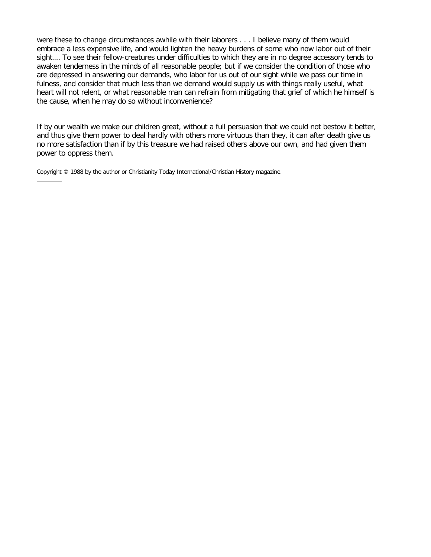were these to change circumstances awhile with their laborers . . . I believe many of them would embrace a less expensive life, and would lighten the heavy burdens of some who now labor out of their sight…. To see their fellow-creatures under difficulties to which they are in no degree accessory tends to awaken tenderness in the minds of all reasonable people; but if we consider the condition of those who are depressed in answering our demands, who labor for us out of our sight while we pass our time in fulness, and consider that much less than we demand would supply us with things really useful, what heart will not relent, or what reasonable man can refrain from mitigating that grief of which he himself is the cause, when he may do so without inconvenience?

If by our wealth we make our children great, without a full persuasion that we could not bestow it better, and thus give them power to deal hardly with others more virtuous than they, it can after death give us no more satisfaction than if by this treasure we had raised others above our own, and had given them power to oppress them.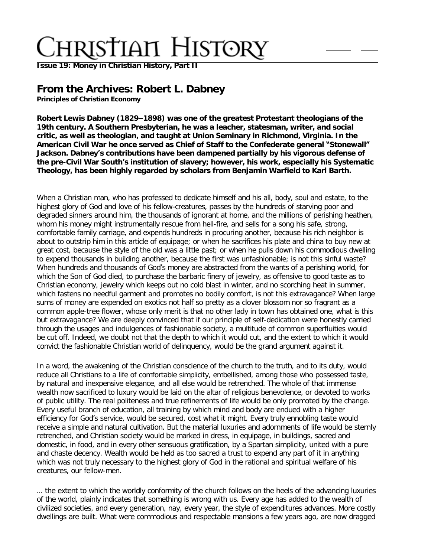# Christian Histor

**[Issue 19: Money in Christian History, Part II](http://ctlstaging/ch/cdrom/collection.html?id=329)**

### **From the Archives: Robert L. Dabney**

**Principles of Christian Economy**

**Robert Lewis Dabney (1829–1898) was one of the greatest Protestant theologians of the 19th century. A Southern Presbyterian, he was a leacher, statesman, writer, and social critic, as well as theologian, and taught at Union Seminary in Richmond, Virginia. In the American Civil War he once served as Chief of Staff to the Confederate general "Stonewall" Jackson. Dabney's contributions have been dampened partially by his vigorous defense of the pre-Civil War South's institution of slavery; however, his work, especially his Systematic Theology, has been highly regarded by scholars from Benjamin Warfield to Karl Barth.** 

When a Christian man, who has professed to dedicate himself and his all, body, soul and estate, to the highest glory of God and love of his fellow-creatures, passes by the hundreds of starving poor and degraded sinners around him, the thousands of ignorant at home, and the millions of perishing heathen, whom his money might instrumentally rescue from hell-fire, and sells for a song his safe, strong, comfortable family carriage, and expends hundreds in procuring another, because his rich neighbor is about to outstrip him in this article of equipage; or when he sacrifices his plate and china to buy new at great cost, because the style of the old was a little past; or when he pulls down his commodious dwelling to expend thousands in building another, because the first was unfashionable; is not this sinful waste? When hundreds and thousands of God's money are abstracted from the wants of a perishing world, for which the Son of God died, to purchase the barbaric finery of jewelry, as offensive to good taste as to Christian economy, jewelry which keeps out no cold blast in winter, and no scorching heat in summer, which fastens no needful garment and promotes no bodily comfort, is not this extravagance? When large sums of money are expended on exotics not half so pretty as a clover blossom nor so fragrant as a common apple-tree flower, whose only merit is that no other lady in town has obtained one, what is this but extravagance? We are deeply convinced that if our principle of self-dedication were honestly carried through the usages and indulgences of fashionable society, a multitude of common superfluities would be cut off. Indeed, we doubt not that the depth to which it would cut, and the extent to which it would convict the fashionable Christian world of delinquency, would be the grand argument against it.

In a word, the awakening of the Christian conscience of the church to the truth, and to its duty, would reduce all Christians to a life of comfortable simplicity, embellished, among those who possessed taste, by natural and inexpensive elegance, and all else would be retrenched. The whole of that immense wealth now sacrificed to luxury would be laid on the altar of religious benevolence, or devoted to works of public utility. The real politeness and true refinements of life would be only promoted by the change. Every useful branch of education, all training by which mind and body are endued with a higher efficiency for God's service, would be secured, cost what it might. Every truly ennobling taste would receive a simple and natural cultivation. But the material luxuries and adornments of life would be sternly retrenched, and Christian society would be marked in dress, in equipage, in buildings, sacred and domestic, in food, and in every other sensuous gratification, by a Spartan simplicity, united with a pure and chaste decency. Wealth would be held as too sacred a trust to expend any part of it in anything which was not truly necessary to the highest glory of God in the rational and spiritual welfare of his creatures, our fellow-men.

… the extent to which the worldly conformity of the church follows on the heels of the advancing luxuries of the world, plainly indicates that something is wrong with us. Every age has added to the wealth of civilized societies, and every generation, nay, every year, the style of expenditures advances. More costly dwellings are built. What were commodious and respectable mansions a few years ago, are now dragged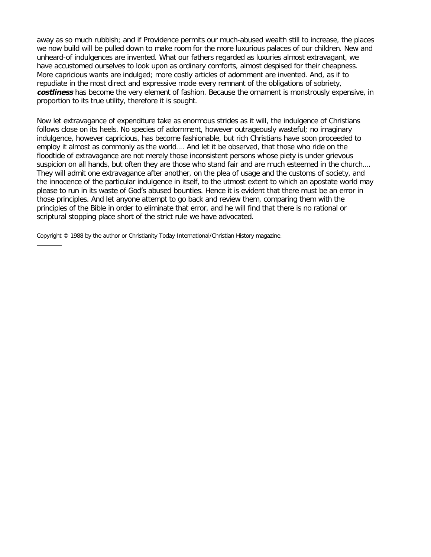away as so much rubbish; and if Providence permits our much-abused wealth still to increase, the places we now build will be pulled down to make room for the more luxurious palaces of our children. New and unheard-of indulgences are invented. What our fathers regarded as luxuries almost extravagant, we have accustomed ourselves to look upon as ordinary comforts, almost despised for their cheapness. More capricious wants are indulged; more costly articles of adornment are invented. And, as if to repudiate in the most direct and expressive mode every remnant of the obligations of sobriety, **costliness** has become the very element of fashion. Because the ornament is monstrously expensive, in proportion to its true utility, therefore it is sought.

Now let extravagance of expenditure take as enormous strides as it will, the indulgence of Christians follows close on its heels. No species of adornment, however outrageously wasteful; no imaginary indulgence, however capricious, has become fashionable, but rich Christians have soon proceeded to employ it almost as commonly as the world…. And let it be observed, that those who ride on the floodtide of extravagance are not merely those inconsistent persons whose piety is under grievous suspicion on all hands, but often they are those who stand fair and are much esteemed in the church…. They will admit one extravagance after another, on the plea of usage and the customs of society, and the innocence of the particular indulgence in itself, to the utmost extent to which an apostate world may please to run in its waste of God's abused bounties. Hence it is evident that there must be an error in those principles. And let anyone attempt to go back and review them, comparing them with the principles of the Bible in order to eliminate that error, and he will find that there is no rational or scriptural stopping place short of the strict rule we have advocated.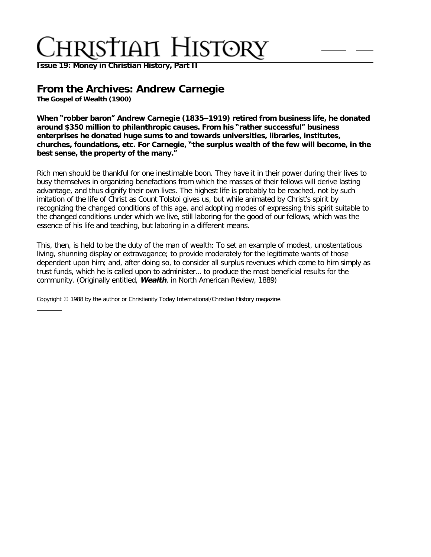# hristian Histor

**[Issue 19: Money in Christian History, Part II](http://ctlstaging/ch/cdrom/collection.html?id=329)**

### **From the Archives: Andrew Carnegie**

**The Gospel of Wealth (1900)**

**When "robber baron" Andrew Carnegie (1835–1919) retired from business life, he donated around \$350 million to philanthropic causes. From his "rather successful" business enterprises he donated huge sums to and towards universities, libraries, institutes, churches, foundations, etc. For Carnegie, "the surplus wealth of the few will become, in the best sense, the property of the many."**

Rich men should be thankful for one inestimable boon. They have it in their power during their lives to busy themselves in organizing benefactions from which the masses of their fellows will derive lasting advantage, and thus dignify their own lives. The highest life is probably to be reached, not by such imitation of the life of Christ as Count Tolstoi gives us, but while animated by Christ's spirit by recognizing the changed conditions of this age, and adopting modes of expressing this spirit suitable to the changed conditions under which we live, still laboring for the good of our fellows, which was the essence of his life and teaching, but laboring in a different means.

This, then, is held to be the duty of the man of wealth: To set an example of modest, unostentatious living, shunning display or extravagance; to provide moderately for the legitimate wants of those dependent upon him; and, after doing so, to consider all surplus revenues which come to him simply as trust funds, which he is called upon to administer… to produce the most beneficial results for the community. (Originally entitled, **Wealth**, in North American Review, 1889)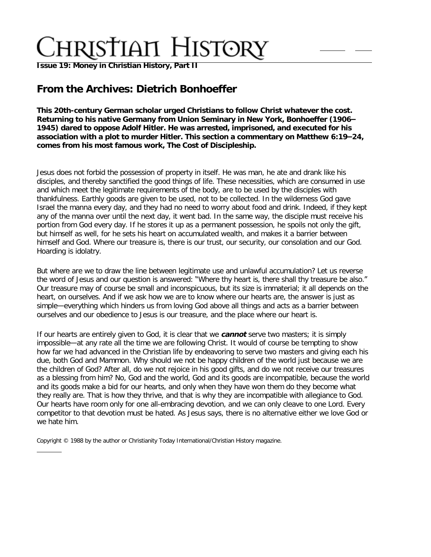# Christian Histor

**[Issue 19: Money in Christian History, Part II](http://ctlstaging/ch/cdrom/collection.html?id=329)**

### **From the Archives: Dietrich Bonhoeffer**

**This 20th-century German scholar urged Christians to follow Christ whatever the cost. Returning to his native Germany from Union Seminary in New York, Bonhoeffer (1906– 1945) dared to oppose Adolf Hitler. He was arrested, imprisoned, and executed for his association with a plot to murder Hitler. This section a commentary on Matthew 6:19–24, comes from his most famous work, The Cost of Discipleship.**

Jesus does not forbid the possession of property in itself. He was man, he ate and drank like his disciples, and thereby sanctified the good things of life. These necessities, which are consumed in use and which meet the legitimate requirements of the body, are to be used by the disciples with thankfulness. Earthly goods are given to be used, not to be collected. In the wilderness God gave Israel the manna every day, and they had no need to worry about food and drink. Indeed, if they kept any of the manna over until the next day, it went bad. In the same way, the disciple must receive his portion from God every day. If he stores it up as a permanent possession, he spoils not only the gift, but himself as well, for he sets his heart on accumulated wealth, and makes it a barrier between himself and God. Where our treasure is, there is our trust, our security, our consolation and our God. Hoarding is idolatry.

But where are we to draw the line between legitimate use and unlawful accumulation? Let us reverse the word of Jesus and our question is answered: "Where thy heart is, there shall thy treasure be also." Our treasure may of course be small and inconspicuous, but its size is immaterial; it all depends on the heart, on ourselves. And if we ask how we are to know where our hearts are, the answer is just as simple—everything which hinders us from loving God above all things and acts as a barrier between ourselves and our obedience to Jesus is our treasure, and the place where our heart is.

If our hearts are entirely given to God, it is clear that we **cannot** serve two masters; it is simply impossible—at any rate all the time we are following Christ. It would of course be tempting to show how far we had advanced in the Christian life by endeavoring to serve two masters and giving each his due, both God and Mammon. Why should we not be happy children of the world just because we are the children of God? After all, do we not rejoice in his good gifts, and do we not receive our treasures as a blessing from him? No, God and the world, God and its goods are incompatible, because the world and its goods make a bid for our hearts, and only when they have won them do they become what they really are. That is how they thrive, and that is why they are incompatible with allegiance to God. Our hearts have room only for one all-embracing devotion, and we can only cleave to one Lord. Every competitor to that devotion must be hated. As Jesus says, there is no alternative either we love God or we hate him.